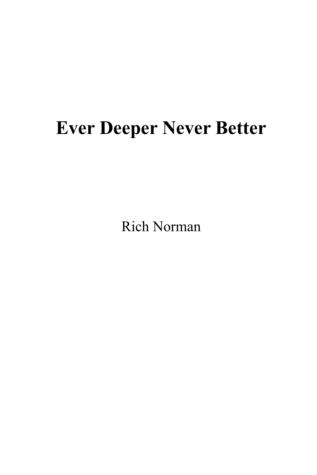# **Ever Deeper Never Better**

Rich Norman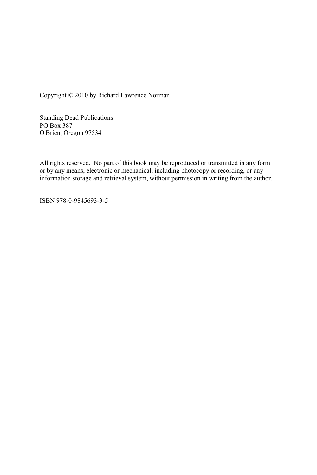Copyright © 2010 by Richard Lawrence Norman

Standing Dead Publications PO Box 387 O'Brien, Oregon 97534

All rights reserved. No part of this book may be reproduced or transmitted in any form or by any means, electronic or mechanical, including photocopy or recording, or any information storage and retrieval system, without permission in writing from the author.

ISBN 978-0-9845693-3-5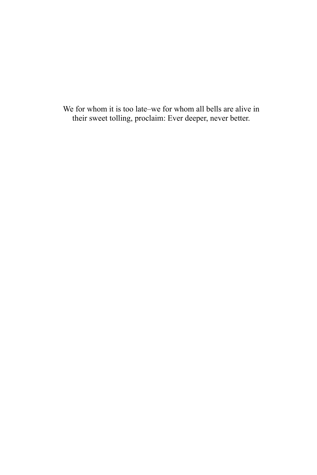We for whom it is too late–we for whom all bells are alive in their sweet tolling, proclaim: Ever deeper, never better.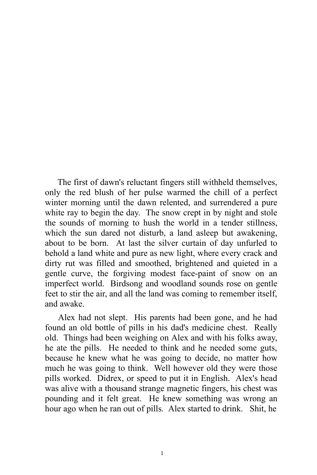The first of dawn's reluctant fingers still withheld themselves, only the red blush of her pulse warmed the chill of a perfect winter morning until the dawn relented, and surrendered a pure white ray to begin the day. The snow crept in by night and stole the sounds of morning to hush the world in a tender stillness, which the sun dared not disturb, a land asleep but awakening, about to be born. At last the silver curtain of day unfurled to behold a land white and pure as new light, where every crack and dirty rut was filled and smoothed, brightened and quieted in a gentle curve, the forgiving modest face-paint of snow on an imperfect world. Birdsong and woodland sounds rose on gentle feet to stir the air, and all the land was coming to remember itself, and awake.

Alex had not slept. His parents had been gone, and he had found an old bottle of pills in his dad's medicine chest. Really old. Things had been weighing on Alex and with his folks away, he ate the pills. He needed to think and he needed some guts, because he knew what he was going to decide, no matter how much he was going to think. Well however old they were those pills worked. Didrex, or speed to put it in English. Alex's head was alive with a thousand strange magnetic fingers, his chest was pounding and it felt great. He knew something was wrong an hour ago when he ran out of pills. Alex started to drink. Shit, he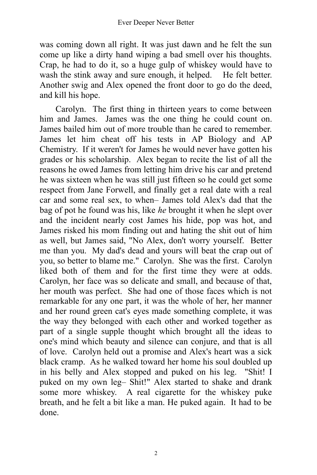was coming down all right. It was just dawn and he felt the sun come up like a dirty hand wiping a bad smell over his thoughts. Crap, he had to do it, so a huge gulp of whiskey would have to wash the stink away and sure enough, it helped. He felt better. Another swig and Alex opened the front door to go do the deed, and kill his hope.

Carolyn. The first thing in thirteen years to come between him and James. James was the one thing he could count on. James bailed him out of more trouble than he cared to remember. James let him cheat off his tests in AP Biology and AP Chemistry. If it weren't for James he would never have gotten his grades or his scholarship. Alex began to recite the list of all the reasons he owed James from letting him drive his car and pretend he was sixteen when he was still just fifteen so he could get some respect from Jane Forwell, and finally get a real date with a real car and some real sex, to when– James told Alex's dad that the bag of pot he found was his, like *he* brought it when he slept over and the incident nearly cost James his hide, pop was hot, and James risked his mom finding out and hating the shit out of him as well, but James said, "No Alex, don't worry yourself. Better me than you. My dad's dead and yours will beat the crap out of you, so better to blame me." Carolyn. She was the first. Carolyn liked both of them and for the first time they were at odds. Carolyn, her face was so delicate and small, and because of that, her mouth was perfect. She had one of those faces which is not remarkable for any one part, it was the whole of her, her manner and her round green cat's eyes made something complete, it was the way they belonged with each other and worked together as part of a single supple thought which brought all the ideas to one's mind which beauty and silence can conjure, and that is all of love. Carolyn held out a promise and Alex's heart was a sick black cramp. As he walked toward her home his soul doubled up in his belly and Alex stopped and puked on his leg. "Shit! I puked on my own leg– Shit!" Alex started to shake and drank some more whiskey. A real cigarette for the whiskey puke breath, and he felt a bit like a man. He puked again. It had to be done.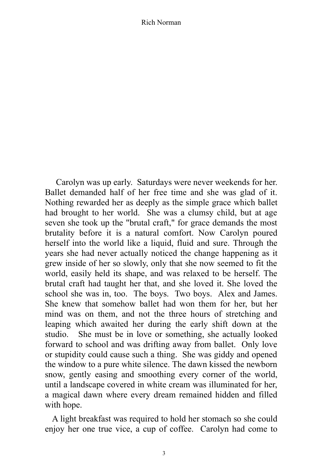Carolyn was up early. Saturdays were never weekends for her. Ballet demanded half of her free time and she was glad of it. Nothing rewarded her as deeply as the simple grace which ballet had brought to her world. She was a clumsy child, but at age seven she took up the "brutal craft," for grace demands the most brutality before it is a natural comfort. Now Carolyn poured herself into the world like a liquid, fluid and sure. Through the years she had never actually noticed the change happening as it grew inside of her so slowly, only that she now seemed to fit the world, easily held its shape, and was relaxed to be herself. The brutal craft had taught her that, and she loved it. She loved the school she was in, too. The boys. Two boys. Alex and James. She knew that somehow ballet had won them for her, but her mind was on them, and not the three hours of stretching and leaping which awaited her during the early shift down at the studio. She must be in love or something, she actually looked forward to school and was drifting away from ballet. Only love or stupidity could cause such a thing. She was giddy and opened the window to a pure white silence. The dawn kissed the newborn snow, gently easing and smoothing every corner of the world, until a landscape covered in white cream was illuminated for her, a magical dawn where every dream remained hidden and filled with hope.

A light breakfast was required to hold her stomach so she could enjoy her one true vice, a cup of coffee. Carolyn had come to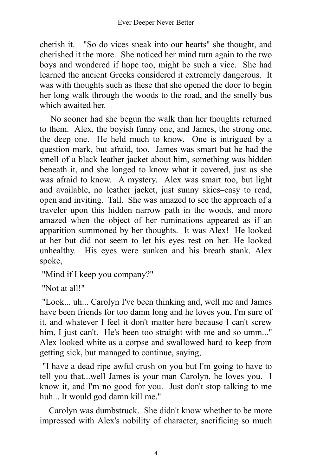cherish it. "So do vices sneak into our hearts" she thought, and cherished it the more. She noticed her mind turn again to the two boys and wondered if hope too, might be such a vice. She had learned the ancient Greeks considered it extremely dangerous. It was with thoughts such as these that she opened the door to begin her long walk through the woods to the road, and the smelly bus which awaited her.

No sooner had she begun the walk than her thoughts returned to them. Alex, the boyish funny one, and James, the strong one, the deep one. He held much to know. One is intrigued by a question mark, but afraid, too. James was smart but he had the smell of a black leather jacket about him, something was hidden beneath it, and she longed to know what it covered, just as she was afraid to know. A mystery. Alex was smart too, but light and available, no leather jacket, just sunny skies–easy to read, open and inviting. Tall. She was amazed to see the approach of a traveler upon this hidden narrow path in the woods, and more amazed when the object of her ruminations appeared as if an apparition summoned by her thoughts. It was Alex! He looked at her but did not seem to let his eyes rest on her. He looked unhealthy. His eyes were sunken and his breath stank. Alex spoke,

"Mind if I keep you company?"

"Not at all!"

"Look... uh... Carolyn I've been thinking and, well me and James have been friends for too damn long and he loves you, I'm sure of it, and whatever I feel it don't matter here because I can't screw him, I just can't. He's been too straight with me and so umm..." Alex looked white as a corpse and swallowed hard to keep from getting sick, but managed to continue, saying,

"I have a dead ripe awful crush on you but I'm going to have to tell you that...well James is your man Carolyn, he loves you. I know it, and I'm no good for you. Just don't stop talking to me huh... It would god damn kill me."

Carolyn was dumbstruck. She didn't know whether to be more impressed with Alex's nobility of character, sacrificing so much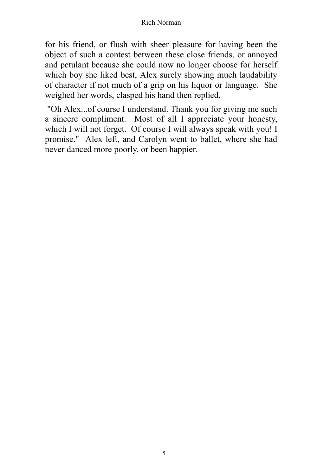for his friend, or flush with sheer pleasure for having been the object of such a contest between these close friends, or annoyed and petulant because she could now no longer choose for herself which boy she liked best, Alex surely showing much laudability of character if not much of a grip on his liquor or language. She weighed her words, clasped his hand then replied,

"Oh Alex...of course I understand. Thank you for giving me such a sincere compliment. Most of all I appreciate your honesty, which I will not forget. Of course I will always speak with you! I promise." Alex left, and Carolyn went to ballet, where she had never danced more poorly, or been happier.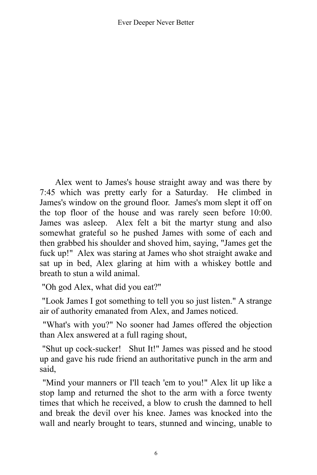Alex went to James's house straight away and was there by 7:45 which was pretty early for a Saturday. He climbed in James's window on the ground floor. James's mom slept it off on the top floor of the house and was rarely seen before 10:00. James was asleep. Alex felt a bit the martyr stung and also somewhat grateful so he pushed James with some of each and then grabbed his shoulder and shoved him, saying, "James get the fuck up!" Alex was staring at James who shot straight awake and sat up in bed, Alex glaring at him with a whiskey bottle and breath to stun a wild animal.

"Oh god Alex, what did you eat?"

"Look James I got something to tell you so just listen." A strange air of authority emanated from Alex, and James noticed.

"What's with you?" No sooner had James offered the objection than Alex answered at a full raging shout,

"Shut up cock-sucker! Shut It!" James was pissed and he stood up and gave his rude friend an authoritative punch in the arm and said,

"Mind your manners or I'll teach 'em to you!" Alex lit up like a stop lamp and returned the shot to the arm with a force twenty times that which he received, a blow to crush the damned to hell and break the devil over his knee. James was knocked into the wall and nearly brought to tears, stunned and wincing, unable to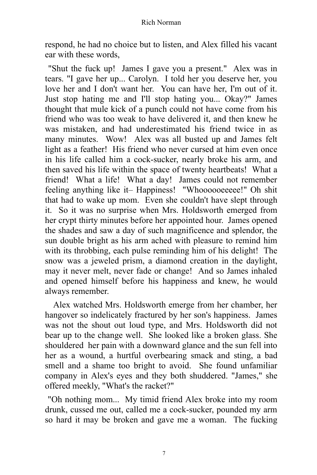respond, he had no choice but to listen, and Alex filled his vacant ear with these words,

"Shut the fuck up! James I gave you a present." Alex was in tears. "I gave her up... Carolyn. I told her you deserve her, you love her and I don't want her. You can have her, I'm out of it. Just stop hating me and I'll stop hating you... Okay?" James thought that mule kick of a punch could not have come from his friend who was too weak to have delivered it, and then knew he was mistaken, and had underestimated his friend twice in as many minutes. Wow! Alex was all busted up and James felt light as a feather! His friend who never cursed at him even once in his life called him a cock-sucker, nearly broke his arm, and then saved his life within the space of twenty heartbeats! What a friend! What a life! What a day! James could not remember feeling anything like it- Happiness! "Whoooooeeeee!" Oh shit that had to wake up mom. Even she couldn't have slept through it. So it was no surprise when Mrs. Holdsworth emerged from her crypt thirty minutes before her appointed hour. James opened the shades and saw a day of such magnificence and splendor, the sun double bright as his arm ached with pleasure to remind him with its throbbing, each pulse reminding him of his delight! The snow was a jeweled prism, a diamond creation in the daylight, may it never melt, never fade or change! And so James inhaled and opened himself before his happiness and knew, he would always remember.

Alex watched Mrs. Holdsworth emerge from her chamber, her hangover so indelicately fractured by her son's happiness. James was not the shout out loud type, and Mrs. Holdsworth did not bear up to the change well. She looked like a broken glass. She shouldered her pain with a downward glance and the sun fell into her as a wound, a hurtful overbearing smack and sting, a bad smell and a shame too bright to avoid. She found unfamiliar company in Alex's eyes and they both shuddered. "James," she offered meekly, "What's the racket?"

"Oh nothing mom... My timid friend Alex broke into my room drunk, cussed me out, called me a cock-sucker, pounded my arm so hard it may be broken and gave me a woman. The fucking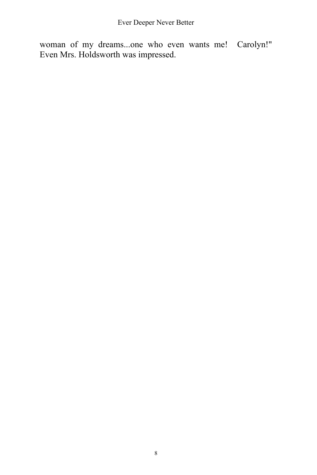woman of my dreams...one who even wants me! Carolyn!" Even Mrs. Holdsworth was impressed.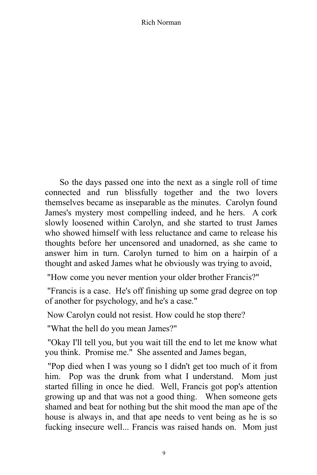So the days passed one into the next as a single roll of time connected and run blissfully together and the two lovers themselves became as inseparable as the minutes. Carolyn found James's mystery most compelling indeed, and he hers. A cork slowly loosened within Carolyn, and she started to trust James who showed himself with less reluctance and came to release his thoughts before her uncensored and unadorned, as she came to answer him in turn. Carolyn turned to him on a hairpin of a thought and asked James what he obviously was trying to avoid,

"How come you never mention your older brother Francis?"

"Francis is a case. He's off finishing up some grad degree on top of another for psychology, and he's a case."

Now Carolyn could not resist. How could he stop there?

"What the hell do you mean James?"

"Okay I'll tell you, but you wait till the end to let me know what you think. Promise me." She assented and James began,

"Pop died when I was young so I didn't get too much of it from him. Pop was the drunk from what I understand. Mom just started filling in once he died. Well, Francis got pop's attention growing up and that was not a good thing. When someone gets shamed and beat for nothing but the shit mood the man ape of the house is always in, and that ape needs to vent being as he is so fucking insecure well... Francis was raised hands on. Mom just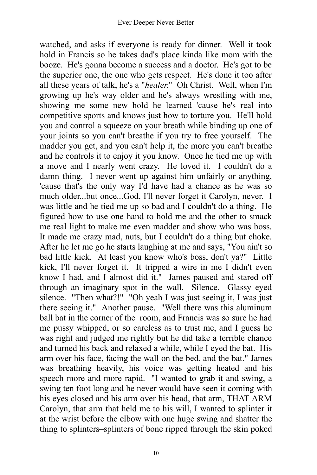watched, and asks if everyone is ready for dinner. Well it took hold in Francis so he takes dad's place kinda like mom with the booze. He's gonna become a success and a doctor. He's got to be the superior one, the one who gets respect. He's done it too after all these years of talk, he's a "*healer*." Oh Christ. Well, when I'm growing up he's way older and he's always wrestling with me, showing me some new hold he learned 'cause he's real into competitive sports and knows just how to torture you. He'll hold you and control a squeeze on your breath while binding up one of your joints so you can't breathe if you try to free yourself. The madder you get, and you can't help it, the more you can't breathe and he controls it to enjoy it you know. Once he tied me up with a move and I nearly went crazy. He loved it. I couldn't do a damn thing. I never went up against him unfairly or anything, 'cause that's the only way I'd have had a chance as he was so much older...but once...God, I'll never forget it Carolyn, never. I was little and he tied me up so bad and I couldn't do a thing. He figured how to use one hand to hold me and the other to smack me real light to make me even madder and show who was boss. It made me crazy mad, nuts, but I couldn't do a thing but choke. After he let me go he starts laughing at me and says, "You ain't so bad little kick. At least you know who's boss, don't ya?" Little kick, I'll never forget it. It tripped a wire in me I didn't even know I had, and I almost did it." James paused and stared off through an imaginary spot in the wall. Silence. Glassy eyed silence. "Then what?!" "Oh yeah I was just seeing it, I was just there seeing it." Another pause. "Well there was this aluminum ball bat in the corner of the room, and Francis was so sure he had me pussy whipped, or so careless as to trust me, and I guess he was right and judged me rightly but he did take a terrible chance and turned his back and relaxed a while, while I eyed the bat. His arm over his face, facing the wall on the bed, and the bat." James was breathing heavily, his voice was getting heated and his speech more and more rapid. "I wanted to grab it and swing, a swing ten foot long and he never would have seen it coming with his eyes closed and his arm over his head, that arm, THAT ARM Carolyn, that arm that held me to his will, I wanted to splinter it at the wrist before the elbow with one huge swing and shatter the thing to splinters–splinters of bone ripped through the skin poked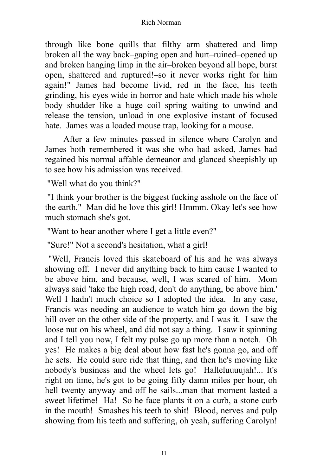through like bone quills–that filthy arm shattered and limp broken all the way back–gaping open and hurt–ruined–opened up and broken hanging limp in the air–broken beyond all hope, burst open, shattered and ruptured!–so it never works right for him again!" James had become livid, red in the face, his teeth grinding, his eyes wide in horror and hate which made his whole body shudder like a huge coil spring waiting to unwind and release the tension, unload in one explosive instant of focused hate. James was a loaded mouse trap, looking for a mouse.

After a few minutes passed in silence where Carolyn and James both remembered it was she who had asked, James had regained his normal affable demeanor and glanced sheepishly up to see how his admission was received.

"Well what do you think?"

"I think your brother is the biggest fucking asshole on the face of the earth." Man did he love this girl! Hmmm. Okay let's see how much stomach she's got.

"Want to hear another where I get a little even?"

"Sure!" Not a second's hesitation, what a girl!

"Well, Francis loved this skateboard of his and he was always showing off. I never did anything back to him cause I wanted to be above him, and because, well, I was scared of him. Mom always said 'take the high road, don't do anything, be above him.' Well I hadn't much choice so I adopted the idea. In any case, Francis was needing an audience to watch him go down the big hill over on the other side of the property, and I was it. I saw the loose nut on his wheel, and did not say a thing. I saw it spinning and I tell you now, I felt my pulse go up more than a notch. Oh yes! He makes a big deal about how fast he's gonna go, and off he sets. He could sure ride that thing, and then he's moving like nobody's business and the wheel lets go! Halleluuuujah!... It's right on time, he's got to be going fifty damn miles per hour, oh hell twenty anyway and off he sails...man that moment lasted a sweet lifetime! Ha! So he face plants it on a curb, a stone curb in the mouth! Smashes his teeth to shit! Blood, nerves and pulp showing from his teeth and suffering, oh yeah, suffering Carolyn!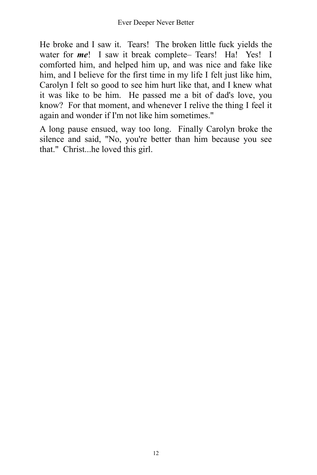He broke and I saw it. Tears! The broken little fuck yields the water for *me*! I saw it break complete– Tears! Ha! Yes! I comforted him, and helped him up, and was nice and fake like him, and I believe for the first time in my life I felt just like him, Carolyn I felt so good to see him hurt like that, and I knew what it was like to be him. He passed me a bit of dad's love, you know? For that moment, and whenever I relive the thing I feel it again and wonder if I'm not like him sometimes."

A long pause ensued, way too long. Finally Carolyn broke the silence and said, "No, you're better than him because you see that." Christ...he loved this girl.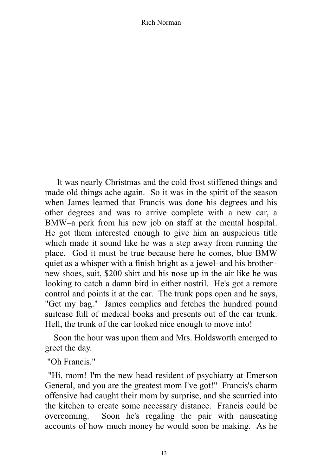It was nearly Christmas and the cold frost stiffened things and made old things ache again. So it was in the spirit of the season when James learned that Francis was done his degrees and his other degrees and was to arrive complete with a new car, a BMW–a perk from his new job on staff at the mental hospital. He got them interested enough to give him an auspicious title which made it sound like he was a step away from running the place. God it must be true because here he comes, blue BMW quiet as a whisper with a finish bright as a jewel–and his brother– new shoes, suit, \$200 shirt and his nose up in the air like he was looking to catch a damn bird in either nostril. He's got a remote control and points it at the car. The trunk pops open and he says, "Get my bag." James complies and fetches the hundred pound suitcase full of medical books and presents out of the car trunk. Hell, the trunk of the car looked nice enough to move into!

Soon the hour was upon them and Mrs. Holdsworth emerged to greet the day.

"Oh Francis."

"Hi, mom! I'm the new head resident of psychiatry at Emerson General, and you are the greatest mom I've got!" Francis's charm offensive had caught their mom by surprise, and she scurried into the kitchen to create some necessary distance. Francis could be overcoming. Soon he's regaling the pair with nauseating accounts of how much money he would soon be making. As he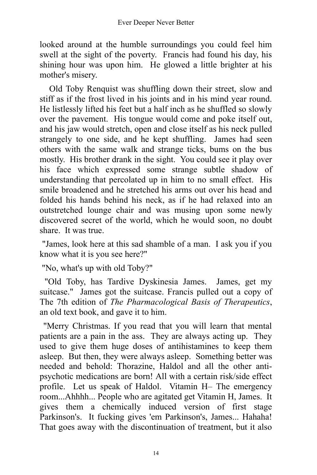looked around at the humble surroundings you could feel him swell at the sight of the poverty. Francis had found his day, his shining hour was upon him. He glowed a little brighter at his mother's misery.

Old Toby Renquist was shuffling down their street, slow and stiff as if the frost lived in his joints and in his mind year round. He listlessly lifted his feet but a half inch as he shuffled so slowly over the pavement. His tongue would come and poke itself out, and his jaw would stretch, open and close itself as his neck pulled strangely to one side, and he kept shuffling. James had seen others with the same walk and strange ticks, bums on the bus mostly. His brother drank in the sight. You could see it play over his face which expressed some strange subtle shadow of understanding that percolated up in him to no small effect. His smile broadened and he stretched his arms out over his head and folded his hands behind his neck, as if he had relaxed into an outstretched lounge chair and was musing upon some newly discovered secret of the world, which he would soon, no doubt share. It was true.

"James, look here at this sad shamble of a man. I ask you if you know what it is you see here?"

"No, what's up with old Toby?"

"Old Toby, has Tardive Dyskinesia James. James, get my suitcase." James got the suitcase. Francis pulled out a copy of The 7th edition of *The Pharmacological Basis of Therapeutics*, an old text book, and gave it to him.

"Merry Christmas. If you read that you will learn that mental patients are a pain in the ass. They are always acting up. They used to give them huge doses of antihistamines to keep them asleep. But then, they were always asleep. Something better was needed and behold: Thorazine, Haldol and all the other antipsychotic medications are born! All with a certain risk/side effect profile. Let us speak of Haldol. Vitamin H– The emergency room...Ahhhh... People who are agitated get Vitamin H, James. It gives them a chemically induced version of first stage Parkinson's. It fucking gives 'em Parkinson's, James... Hahaha! That goes away with the discontinuation of treatment, but it also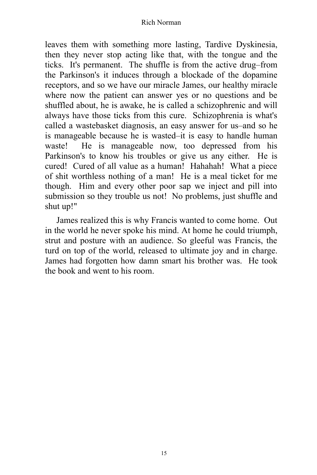leaves them with something more lasting, Tardive Dyskinesia, then they never stop acting like that, with the tongue and the ticks. It's permanent. The shuffle is from the active drug–from the Parkinson's it induces through a blockade of the dopamine receptors, and so we have our miracle James, our healthy miracle where now the patient can answer yes or no questions and be shuffled about, he is awake, he is called a schizophrenic and will always have those ticks from this cure. Schizophrenia is what's called a wastebasket diagnosis, an easy answer for us–and so he is manageable because he is wasted–it is easy to handle human waste! He is manageable now, too depressed from his Parkinson's to know his troubles or give us any either. He is cured! Cured of all value as a human! Hahahah! What a piece of shit worthless nothing of a man! He is a meal ticket for me though. Him and every other poor sap we inject and pill into submission so they trouble us not! No problems, just shuffle and shut up!"

James realized this is why Francis wanted to come home. Out in the world he never spoke his mind. At home he could triumph, strut and posture with an audience. So gleeful was Francis, the turd on top of the world, released to ultimate joy and in charge. James had forgotten how damn smart his brother was. He took the book and went to his room.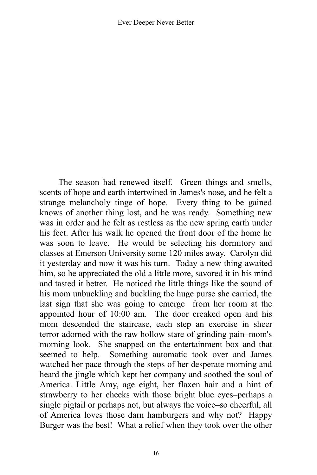The season had renewed itself. Green things and smells, scents of hope and earth intertwined in James's nose, and he felt a strange melancholy tinge of hope. Every thing to be gained knows of another thing lost, and he was ready. Something new was in order and he felt as restless as the new spring earth under his feet. After his walk he opened the front door of the home he was soon to leave. He would be selecting his dormitory and classes at Emerson University some 120 miles away. Carolyn did it yesterday and now it was his turn. Today a new thing awaited him, so he appreciated the old a little more, savored it in his mind and tasted it better. He noticed the little things like the sound of his mom unbuckling and buckling the huge purse she carried, the last sign that she was going to emerge from her room at the appointed hour of 10:00 am. The door creaked open and his mom descended the staircase, each step an exercise in sheer terror adorned with the raw hollow stare of grinding pain–mom's morning look. She snapped on the entertainment box and that seemed to help. Something automatic took over and James watched her pace through the steps of her desperate morning and heard the jingle which kept her company and soothed the soul of America. Little Amy, age eight, her flaxen hair and a hint of strawberry to her cheeks with those bright blue eyes–perhaps a single pigtail or perhaps not, but always the voice–so cheerful, all of America loves those darn hamburgers and why not? Happy Burger was the best! What a relief when they took over the other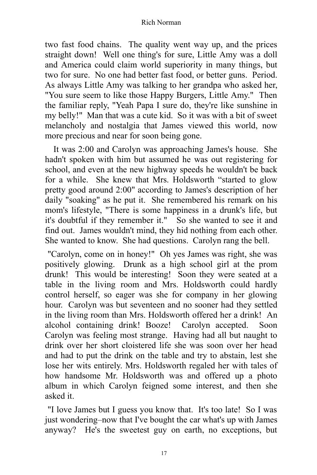two fast food chains. The quality went way up, and the prices straight down! Well one thing's for sure, Little Amy was a doll and America could claim world superiority in many things, but two for sure. No one had better fast food, or better guns. Period. As always Little Amy was talking to her grandpa who asked her, "You sure seem to like those Happy Burgers, Little Amy." Then the familiar reply, "Yeah Papa I sure do, they're like sunshine in my belly!" Man that was a cute kid. So it was with a bit of sweet melancholy and nostalgia that James viewed this world, now more precious and near for soon being gone.

It was 2:00 and Carolyn was approaching James's house. She hadn't spoken with him but assumed he was out registering for school, and even at the new highway speeds he wouldn't be back for a while. She knew that Mrs. Holdsworth "started to glow pretty good around 2:00" according to James's description of her daily "soaking" as he put it. She remembered his remark on his mom's lifestyle, "There is some happiness in a drunk's life, but it's doubtful if they remember it." So she wanted to see it and find out. James wouldn't mind, they hid nothing from each other. She wanted to know. She had questions. Carolyn rang the bell.

"Carolyn, come on in honey!" Oh yes James was right, she was positively glowing. Drunk as a high school girl at the prom drunk! This would be interesting! Soon they were seated at a table in the living room and Mrs. Holdsworth could hardly control herself, so eager was she for company in her glowing hour. Carolyn was but seventeen and no sooner had they settled in the living room than Mrs. Holdsworth offered her a drink! An alcohol containing drink! Booze! Carolyn accepted. Soon Carolyn was feeling most strange. Having had all but naught to drink over her short cloistered life she was soon over her head and had to put the drink on the table and try to abstain, lest she lose her wits entirely. Mrs. Holdsworth regaled her with tales of how handsome Mr. Holdsworth was and offered up a photo album in which Carolyn feigned some interest, and then she asked it.

"I love James but I guess you know that. It's too late! So I was just wondering–now that I've bought the car what's up with James anyway? He's the sweetest guy on earth, no exceptions, but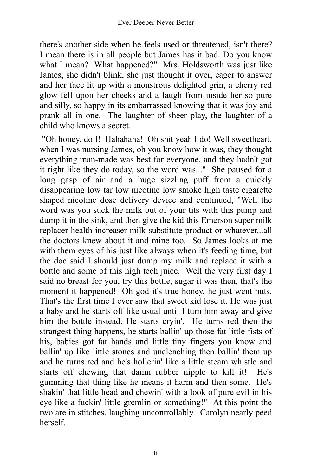there's another side when he feels used or threatened, isn't there? I mean there is in all people but James has it bad. Do you know what I mean? What happened?" Mrs. Holdsworth was just like James, she didn't blink, she just thought it over, eager to answer and her face lit up with a monstrous delighted grin, a cherry red glow fell upon her cheeks and a laugh from inside her so pure and silly, so happy in its embarrassed knowing that it was joy and prank all in one. The laughter of sheer play, the laughter of a child who knows a secret.

"Oh honey, do I! Hahahaha! Oh shit yeah I do! Well sweetheart, when I was nursing James, oh you know how it was, they thought everything man-made was best for everyone, and they hadn't got it right like they do today, so the word was..." She paused for a long gasp of air and a huge sizzling puff from a quickly disappearing low tar low nicotine low smoke high taste cigarette shaped nicotine dose delivery device and continued, "Well the word was you suck the milk out of your tits with this pump and dump it in the sink, and then give the kid this Emerson super milk replacer health increaser milk substitute product or whatever...all the doctors knew about it and mine too. So James looks at me with them eyes of his just like always when it's feeding time, but the doc said I should just dump my milk and replace it with a bottle and some of this high tech juice. Well the very first day I said no breast for you, try this bottle, sugar it was then, that's the moment it happened! Oh god it's true honey, he just went nuts. That's the first time I ever saw that sweet kid lose it. He was just a baby and he starts off like usual until I turn him away and give him the bottle instead. He starts cryin'. He turns red then the strangest thing happens, he starts ballin' up those fat little fists of his, babies got fat hands and little tiny fingers you know and ballin' up like little stones and unclenching then ballin' them up and he turns red and he's hollerin' like a little steam whistle and starts off chewing that damn rubber nipple to kill it! He's gumming that thing like he means it harm and then some. He's shakin' that little head and chewin' with a look of pure evil in his eye like a fuckin' little gremlin or something!" At this point the two are in stitches, laughing uncontrollably. Carolyn nearly peed herself.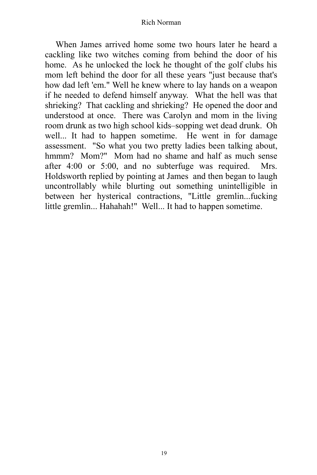When James arrived home some two hours later he heard a cackling like two witches coming from behind the door of his home. As he unlocked the lock he thought of the golf clubs his mom left behind the door for all these years "just because that's how dad left 'em." Well he knew where to lay hands on a weapon if he needed to defend himself anyway. What the hell was that shrieking? That cackling and shrieking? He opened the door and understood at once. There was Carolyn and mom in the living room drunk as two high school kids–sopping wet dead drunk. Oh well... It had to happen sometime. He went in for damage assessment. "So what you two pretty ladies been talking about, hmmm? Mom?" Mom had no shame and half as much sense after 4:00 or 5:00, and no subterfuge was required. Mrs. Holdsworth replied by pointing at James and then began to laugh uncontrollably while blurting out something unintelligible in between her hysterical contractions, "Little gremlin...fucking little gremlin... Hahahah!" Well... It had to happen sometime.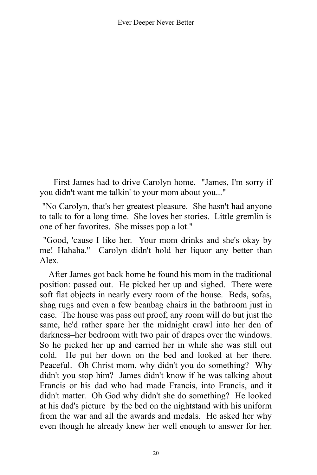First James had to drive Carolyn home. "James, I'm sorry if you didn't want me talkin' to your mom about you..."

"No Carolyn, that's her greatest pleasure. She hasn't had anyone to talk to for a long time. She loves her stories. Little gremlin is one of her favorites. She misses pop a lot."

"Good, 'cause I like her. Your mom drinks and she's okay by me! Hahaha." Carolyn didn't hold her liquor any better than Alex.

After James got back home he found his mom in the traditional position: passed out. He picked her up and sighed. There were soft flat objects in nearly every room of the house. Beds, sofas, shag rugs and even a few beanbag chairs in the bathroom just in case. The house was pass out proof, any room will do but just the same, he'd rather spare her the midnight crawl into her den of darkness–her bedroom with two pair of drapes over the windows. So he picked her up and carried her in while she was still out cold. He put her down on the bed and looked at her there. Peaceful. Oh Christ mom, why didn't you do something? Why didn't you stop him? James didn't know if he was talking about Francis or his dad who had made Francis, into Francis, and it didn't matter. Oh God why didn't she do something? He looked at his dad's picture by the bed on the nightstand with his uniform from the war and all the awards and medals. He asked her why even though he already knew her well enough to answer for her.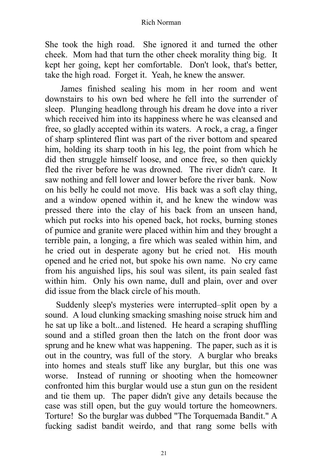She took the high road. She ignored it and turned the other cheek. Mom had that turn the other cheek morality thing big. It kept her going, kept her comfortable. Don't look, that's better, take the high road. Forget it. Yeah, he knew the answer.

James finished sealing his mom in her room and went downstairs to his own bed where he fell into the surrender of sleep. Plunging headlong through his dream he dove into a river which received him into its happiness where he was cleansed and free, so gladly accepted within its waters. A rock, a crag, a finger of sharp splintered flint was part of the river bottom and speared him, holding its sharp tooth in his leg, the point from which he did then struggle himself loose, and once free, so then quickly fled the river before he was drowned. The river didn't care. It saw nothing and fell lower and lower before the river bank. Now on his belly he could not move. His back was a soft clay thing, and a window opened within it, and he knew the window was pressed there into the clay of his back from an unseen hand, which put rocks into his opened back, hot rocks, burning stones of pumice and granite were placed within him and they brought a terrible pain, a longing, a fire which was sealed within him, and he cried out in desperate agony but he cried not. His mouth opened and he cried not, but spoke his own name. No cry came from his anguished lips, his soul was silent, its pain sealed fast within him. Only his own name, dull and plain, over and over did issue from the black circle of his mouth.

Suddenly sleep's mysteries were interrupted–split open by a sound. A loud clunking smacking smashing noise struck him and he sat up like a bolt...and listened. He heard a scraping shuffling sound and a stifled groan then the latch on the front door was sprung and he knew what was happening. The paper, such as it is out in the country, was full of the story. A burglar who breaks into homes and steals stuff like any burglar, but this one was worse. Instead of running or shooting when the homeowner confronted him this burglar would use a stun gun on the resident and tie them up. The paper didn't give any details because the case was still open, but the guy would torture the homeowners. Torture! So the burglar was dubbed "The Torquemada Bandit." A fucking sadist bandit weirdo, and that rang some bells with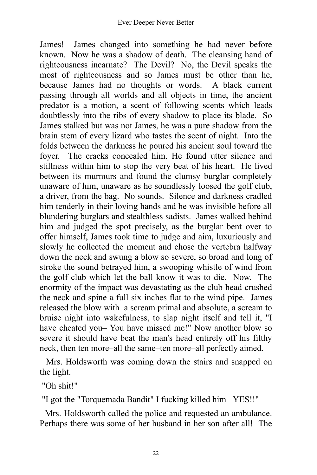James! James changed into something he had never before known. Now he was a shadow of death. The cleansing hand of righteousness incarnate? The Devil? No, the Devil speaks the most of righteousness and so James must be other than he, because James had no thoughts or words. A black current passing through all worlds and all objects in time, the ancient predator is a motion, a scent of following scents which leads doubtlessly into the ribs of every shadow to place its blade. So James stalked but was not James, he was a pure shadow from the brain stem of every lizard who tastes the scent of night. Into the folds between the darkness he poured his ancient soul toward the foyer. The cracks concealed him. He found utter silence and stillness within him to stop the very beat of his heart. He lived between its murmurs and found the clumsy burglar completely unaware of him, unaware as he soundlessly loosed the golf club, a driver, from the bag. No sounds. Silence and darkness cradled him tenderly in their loving hands and he was invisible before all blundering burglars and stealthless sadists. James walked behind him and judged the spot precisely, as the burglar bent over to offer himself, James took time to judge and aim, luxuriously and slowly he collected the moment and chose the vertebra halfway down the neck and swung a blow so severe, so broad and long of stroke the sound betrayed him, a swooping whistle of wind from the golf club which let the ball know it was to die. Now. The enormity of the impact was devastating as the club head crushed the neck and spine a full six inches flat to the wind pipe. James released the blow with a scream primal and absolute, a scream to bruise night into wakefulness, to slap night itself and tell it, "I have cheated you– You have missed me!" Now another blow so severe it should have beat the man's head entirely off his filthy neck, then ten more–all the same–ten more–all perfectly aimed.

Mrs. Holdsworth was coming down the stairs and snapped on the light.

"Oh shit!"

"I got the "Torquemada Bandit" I fucking killed him– YES!!"

Mrs. Holdsworth called the police and requested an ambulance. Perhaps there was some of her husband in her son after all! The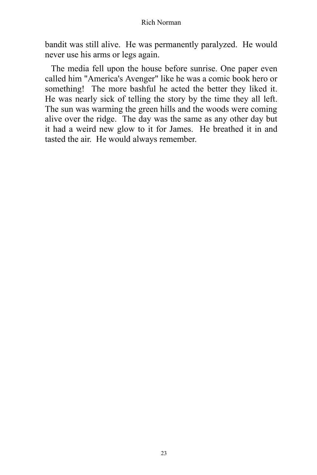bandit was still alive. He was permanently paralyzed. He would never use his arms or legs again.

The media fell upon the house before sunrise. One paper even called him "America's Avenger" like he was a comic book hero or something! The more bashful he acted the better they liked it. He was nearly sick of telling the story by the time they all left. The sun was warming the green hills and the woods were coming alive over the ridge. The day was the same as any other day but it had a weird new glow to it for James. He breathed it in and tasted the air. He would always remember.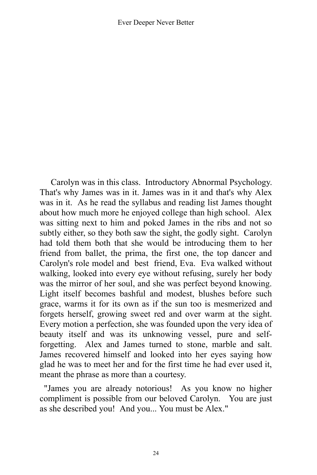Carolyn was in this class. Introductory Abnormal Psychology. That's why James was in it. James was in it and that's why Alex was in it. As he read the syllabus and reading list James thought about how much more he enjoyed college than high school. Alex was sitting next to him and poked James in the ribs and not so subtly either, so they both saw the sight, the godly sight. Carolyn had told them both that she would be introducing them to her friend from ballet, the prima, the first one, the top dancer and Carolyn's role model and best friend, Eva. Eva walked without walking, looked into every eye without refusing, surely her body was the mirror of her soul, and she was perfect beyond knowing. Light itself becomes bashful and modest, blushes before such grace, warms it for its own as if the sun too is mesmerized and forgets herself, growing sweet red and over warm at the sight. Every motion a perfection, she was founded upon the very idea of beauty itself and was its unknowing vessel, pure and selfforgetting. Alex and James turned to stone, marble and salt. James recovered himself and looked into her eyes saying how glad he was to meet her and for the first time he had ever used it, meant the phrase as more than a courtesy.

"James you are already notorious! As you know no higher compliment is possible from our beloved Carolyn. You are just as she described you! And you... You must be Alex."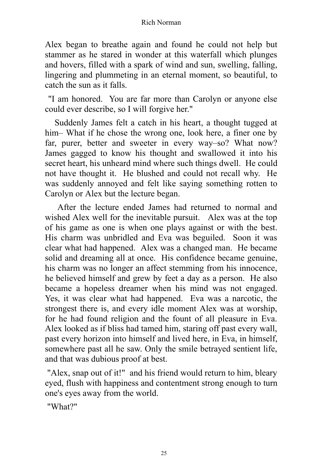Alex began to breathe again and found he could not help but stammer as he stared in wonder at this waterfall which plunges and hovers, filled with a spark of wind and sun, swelling, falling, lingering and plummeting in an eternal moment, so beautiful, to catch the sun as it falls.

"I am honored. You are far more than Carolyn or anyone else could ever describe, so I will forgive her."

Suddenly James felt a catch in his heart, a thought tugged at him– What if he chose the wrong one, look here, a finer one by far, purer, better and sweeter in every way–so? What now? James gagged to know his thought and swallowed it into his secret heart, his unheard mind where such things dwell. He could not have thought it. He blushed and could not recall why. He was suddenly annoyed and felt like saying something rotten to Carolyn or Alex but the lecture began.

After the lecture ended James had returned to normal and wished Alex well for the inevitable pursuit. Alex was at the top of his game as one is when one plays against or with the best. His charm was unbridled and Eva was beguiled. Soon it was clear what had happened. Alex was a changed man. He became solid and dreaming all at once. His confidence became genuine, his charm was no longer an affect stemming from his innocence, he believed himself and grew by feet a day as a person. He also became a hopeless dreamer when his mind was not engaged. Yes, it was clear what had happened. Eva was a narcotic, the strongest there is, and every idle moment Alex was at worship, for he had found religion and the fount of all pleasure in Eva. Alex looked as if bliss had tamed him, staring off past every wall, past every horizon into himself and lived here, in Eva, in himself, somewhere past all he saw. Only the smile betrayed sentient life, and that was dubious proof at best.

"Alex, snap out of it!" and his friend would return to him, bleary eyed, flush with happiness and contentment strong enough to turn one's eyes away from the world.

"What?"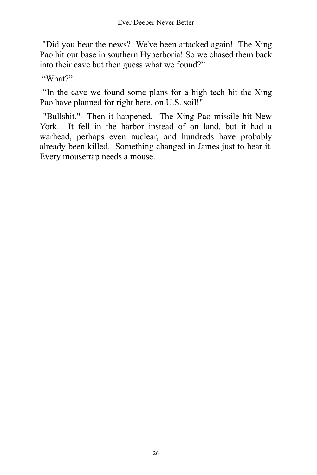"Did you hear the news? We've been attacked again! The Xing Pao hit our base in southern Hyperboria! So we chased them back into their cave but then guess what we found?"

"What?"

"In the cave we found some plans for a high tech hit the Xing Pao have planned for right here, on U.S. soil!"

"Bullshit." Then it happened. The Xing Pao missile hit New York. It fell in the harbor instead of on land, but it had a warhead, perhaps even nuclear, and hundreds have probably already been killed. Something changed in James just to hear it. Every mousetrap needs a mouse.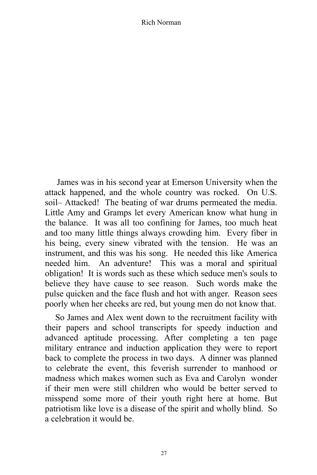James was in his second year at Emerson University when the attack happened, and the whole country was rocked. On U.S. soil– Attacked! The beating of war drums permeated the media. Little Amy and Gramps let every American know what hung in the balance. It was all too confining for James, too much heat and too many little things always crowding him. Every fiber in his being, every sinew vibrated with the tension. He was an instrument, and this was his song. He needed this like America needed him. An adventure! This was a moral and spiritual obligation! It is words such as these which seduce men's souls to believe they have cause to see reason. Such words make the pulse quicken and the face flush and hot with anger. Reason sees poorly when her cheeks are red, but young men do not know that.

So James and Alex went down to the recruitment facility with their papers and school transcripts for speedy induction and advanced aptitude processing. After completing a ten page military entrance and induction application they were to report back to complete the process in two days. A dinner was planned to celebrate the event, this feverish surrender to manhood or madness which makes women such as Eva and Carolyn wonder if their men were still children who would be better served to misspend some more of their youth right here at home. But patriotism like love is a disease of the spirit and wholly blind. So a celebration it would be.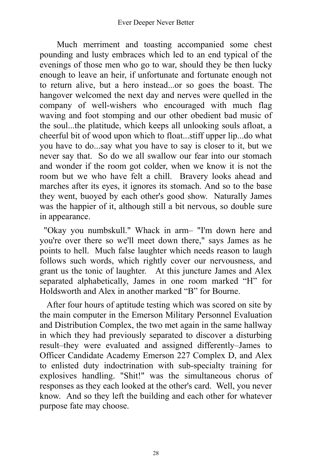Much merriment and toasting accompanied some chest pounding and lusty embraces which led to an end typical of the evenings of those men who go to war, should they be then lucky enough to leave an heir, if unfortunate and fortunate enough not to return alive, but a hero instead...or so goes the boast. The hangover welcomed the next day and nerves were quelled in the company of well-wishers who encouraged with much flag waving and foot stomping and our other obedient bad music of the soul...the platitude, which keeps all unlooking souls afloat, a cheerful bit of wood upon which to float...stiff upper lip...do what you have to do...say what you have to say is closer to it, but we never say that. So do we all swallow our fear into our stomach and wonder if the room got colder, when we know it is not the room but we who have felt a chill. Bravery looks ahead and marches after its eyes, it ignores its stomach. And so to the base they went, buoyed by each other's good show. Naturally James was the happier of it, although still a bit nervous, so double sure in appearance.

"Okay you numbskull." Whack in arm– "I'm down here and you're over there so we'll meet down there," says James as he points to hell. Much false laughter which needs reason to laugh follows such words, which rightly cover our nervousness, and grant us the tonic of laughter. At this juncture James and Alex separated alphabetically, James in one room marked "H" for Holdsworth and Alex in another marked "B" for Bourne.

After four hours of aptitude testing which was scored on site by the main computer in the Emerson Military Personnel Evaluation and Distribution Complex, the two met again in the same hallway in which they had previously separated to discover a disturbing result–they were evaluated and assigned differently–James to Officer Candidate Academy Emerson 227 Complex D, and Alex to enlisted duty indoctrination with sub-specialty training for explosives handling. "Shit!" was the simultaneous chorus of responses as they each looked at the other's card. Well, you never know. And so they left the building and each other for whatever purpose fate may choose.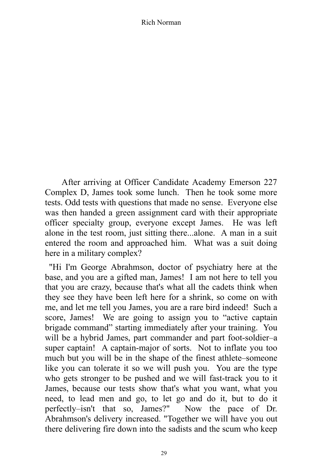After arriving at Officer Candidate Academy Emerson 227 Complex D, James took some lunch. Then he took some more tests. Odd tests with questions that made no sense. Everyone else was then handed a green assignment card with their appropriate officer specialty group, everyone except James. He was left alone in the test room, just sitting there...alone. A man in a suit entered the room and approached him. What was a suit doing here in a military complex?

"Hi I'm George Abrahmson, doctor of psychiatry here at the base, and you are a gifted man, James! I am not here to tell you that you are crazy, because that's what all the cadets think when they see they have been left here for a shrink, so come on with me, and let me tell you James, you are a rare bird indeed! Such a score, James! We are going to assign you to "active captain brigade command" starting immediately after your training. You will be a hybrid James, part commander and part foot-soldier–a super captain! A captain-major of sorts. Not to inflate you too much but you will be in the shape of the finest athlete–someone like you can tolerate it so we will push you. You are the type who gets stronger to be pushed and we will fast-track you to it James, because our tests show that's what you want, what you need, to lead men and go, to let go and do it, but to do it perfectly–isn't that so, James?" Now the pace of Dr. Abrahmson's delivery increased. "Together we will have you out there delivering fire down into the sadists and the scum who keep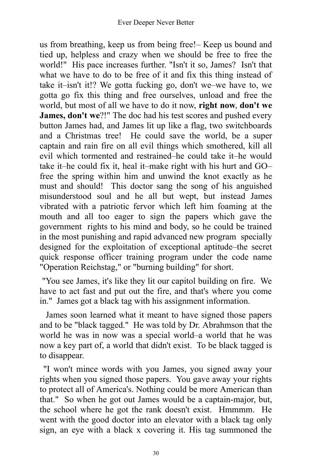us from breathing, keep us from being free!– Keep us bound and tied up, helpless and crazy when we should be free to free the world!" His pace increases further. "Isn't it so, James? Isn't that what we have to do to be free of it and fix this thing instead of take it–isn't it!? We gotta fucking go, don't we–we have to, we gotta go fix this thing and free ourselves, unload and free the world, but most of all we have to do it now, **right now**, **don't we James, don't we**?!" The doc had his test scores and pushed every button James had, and James lit up like a flag, two switchboards and a Christmas tree! He could save the world, be a super captain and rain fire on all evil things which smothered, kill all evil which tormented and restrained–he could take it–he would take it–he could fix it, heal it–make right with his hurt and GO– free the spring within him and unwind the knot exactly as he must and should! This doctor sang the song of his anguished misunderstood soul and he all but wept, but instead James vibrated with a patriotic fervor which left him foaming at the mouth and all too eager to sign the papers which gave the government rights to his mind and body, so he could be trained in the most punishing and rapid advanced new program specially designed for the exploitation of exceptional aptitude–the secret quick response officer training program under the code name "Operation Reichstag," or "burning building" for short.

"You see James, it's like they lit our capitol building on fire. We have to act fast and put out the fire, and that's where you come in." James got a black tag with his assignment information.

James soon learned what it meant to have signed those papers and to be "black tagged." He was told by Dr. Abrahmson that the world he was in now was a special world–a world that he was now a key part of, a world that didn't exist. To be black tagged is to disappear.

"I won't mince words with you James, you signed away your rights when you signed those papers. You gave away your rights to protect all of America's. Nothing could be more American than that." So when he got out James would be a captain-major, but, the school where he got the rank doesn't exist. Hmmmm. He went with the good doctor into an elevator with a black tag only sign, an eye with a black x covering it. His tag summoned the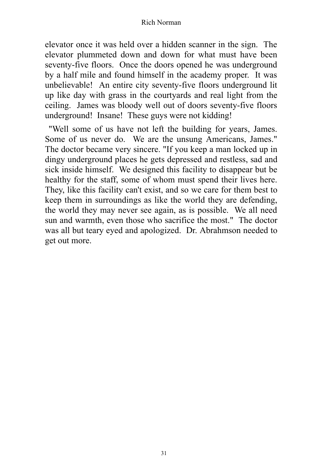elevator once it was held over a hidden scanner in the sign. The elevator plummeted down and down for what must have been seventy-five floors. Once the doors opened he was underground by a half mile and found himself in the academy proper. It was unbelievable! An entire city seventy-five floors underground lit up like day with grass in the courtyards and real light from the ceiling. James was bloody well out of doors seventy-five floors underground! Insane! These guys were not kidding!

"Well some of us have not left the building for years, James. Some of us never do. We are the unsung Americans, James." The doctor became very sincere. "If you keep a man locked up in dingy underground places he gets depressed and restless, sad and sick inside himself. We designed this facility to disappear but be healthy for the staff, some of whom must spend their lives here. They, like this facility can't exist, and so we care for them best to keep them in surroundings as like the world they are defending, the world they may never see again, as is possible. We all need sun and warmth, even those who sacrifice the most." The doctor was all but teary eyed and apologized. Dr. Abrahmson needed to get out more.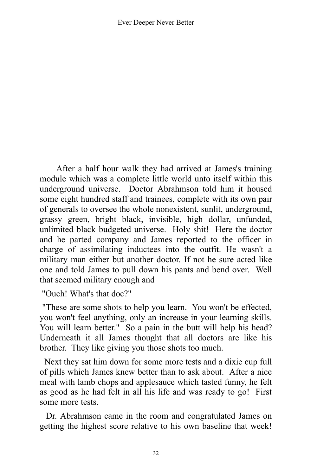After a half hour walk they had arrived at James's training module which was a complete little world unto itself within this underground universe. Doctor Abrahmson told him it housed some eight hundred staff and trainees, complete with its own pair of generals to oversee the whole nonexistent, sunlit, underground, grassy green, bright black, invisible, high dollar, unfunded, unlimited black budgeted universe. Holy shit! Here the doctor and he parted company and James reported to the officer in charge of assimilating inductees into the outfit. He wasn't a military man either but another doctor. If not he sure acted like one and told James to pull down his pants and bend over. Well that seemed military enough and

"Ouch! What's that doc?"

"These are some shots to help you learn. You won't be effected, you won't feel anything, only an increase in your learning skills. You will learn better." So a pain in the butt will help his head? Underneath it all James thought that all doctors are like his brother. They like giving you those shots too much.

Next they sat him down for some more tests and a dixie cup full of pills which James knew better than to ask about. After a nice meal with lamb chops and applesauce which tasted funny, he felt as good as he had felt in all his life and was ready to go! First some more tests.

Dr. Abrahmson came in the room and congratulated James on getting the highest score relative to his own baseline that week!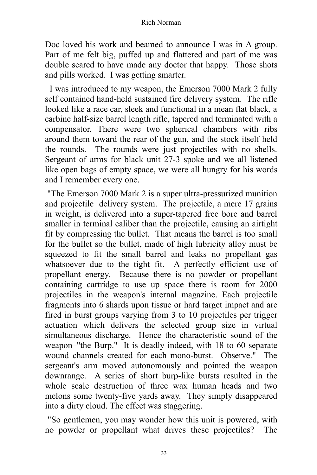Doc loved his work and beamed to announce I was in A group. Part of me felt big, puffed up and flattered and part of me was double scared to have made any doctor that happy. Those shots and pills worked. I was getting smarter.

I was introduced to my weapon, the Emerson 7000 Mark 2 fully self contained hand-held sustained fire delivery system. The rifle looked like a race car, sleek and functional in a mean flat black, a carbine half-size barrel length rifle, tapered and terminated with a compensator. There were two spherical chambers with ribs around them toward the rear of the gun, and the stock itself held the rounds. The rounds were just projectiles with no shells. Sergeant of arms for black unit 27-3 spoke and we all listened like open bags of empty space, we were all hungry for his words and I remember every one.

"The Emerson 7000 Mark 2 is a super ultra-pressurized munition and projectile delivery system. The projectile, a mere 17 grains in weight, is delivered into a super-tapered free bore and barrel smaller in terminal caliber than the projectile, causing an airtight fit by compressing the bullet. That means the barrel is too small for the bullet so the bullet, made of high lubricity alloy must be squeezed to fit the small barrel and leaks no propellant gas whatsoever due to the tight fit. A perfectly efficient use of propellant energy. Because there is no powder or propellant containing cartridge to use up space there is room for 2000 projectiles in the weapon's internal magazine. Each projectile fragments into 6 shards upon tissue or hard target impact and are fired in burst groups varying from 3 to 10 projectiles per trigger actuation which delivers the selected group size in virtual simultaneous discharge. Hence the characteristic sound of the weapon–"the Burp." It is deadly indeed, with 18 to 60 separate wound channels created for each mono-burst. Observe." The sergeant's arm moved autonomously and pointed the weapon downrange. A series of short burp-like bursts resulted in the whole scale destruction of three wax human heads and two melons some twenty-five yards away. They simply disappeared into a dirty cloud. The effect was staggering.

"So gentlemen, you may wonder how this unit is powered, with no powder or propellant what drives these projectiles? The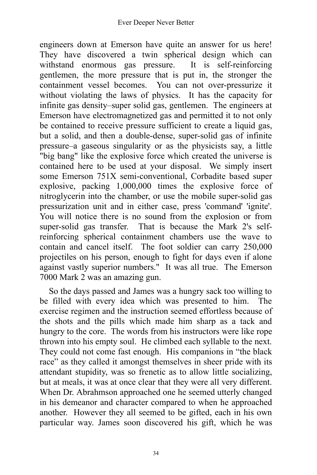engineers down at Emerson have quite an answer for us here! They have discovered a twin spherical design which can withstand enormous gas pressure. It is self-reinforcing gentlemen, the more pressure that is put in, the stronger the containment vessel becomes. You can not over-pressurize it without violating the laws of physics. It has the capacity for infinite gas density–super solid gas, gentlemen. The engineers at Emerson have electromagnetized gas and permitted it to not only be contained to receive pressure sufficient to create a liquid gas, but a solid, and then a double-dense, super-solid gas of infinite pressure–a gaseous singularity or as the physicists say, a little "big bang" like the explosive force which created the universe is contained here to be used at your disposal. We simply insert some Emerson 751X semi-conventional, Corbadite based super explosive, packing 1,000,000 times the explosive force of nitroglycerin into the chamber, or use the mobile super-solid gas pressurization unit and in either case, press 'command' 'ignite'. You will notice there is no sound from the explosion or from super-solid gas transfer. That is because the Mark 2's selfreinforcing spherical containment chambers use the wave to contain and cancel itself. The foot soldier can carry 250,000 projectiles on his person, enough to fight for days even if alone against vastly superior numbers." It was all true. The Emerson 7000 Mark 2 was an amazing gun.

So the days passed and James was a hungry sack too willing to be filled with every idea which was presented to him. The exercise regimen and the instruction seemed effortless because of the shots and the pills which made him sharp as a tack and hungry to the core. The words from his instructors were like rope thrown into his empty soul. He climbed each syllable to the next. They could not come fast enough. His companions in "the black race" as they called it amongst themselves in sheer pride with its attendant stupidity, was so frenetic as to allow little socializing, but at meals, it was at once clear that they were all very different. When Dr. Abrahmson approached one he seemed utterly changed in his demeanor and character compared to when he approached another. However they all seemed to be gifted, each in his own particular way. James soon discovered his gift, which he was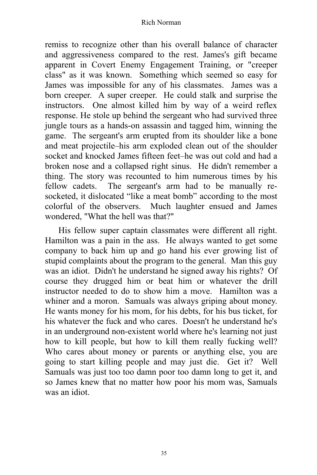remiss to recognize other than his overall balance of character and aggressiveness compared to the rest. James's gift became apparent in Covert Enemy Engagement Training, or "creeper class" as it was known. Something which seemed so easy for James was impossible for any of his classmates. James was a born creeper. A super creeper. He could stalk and surprise the instructors. One almost killed him by way of a weird reflex response. He stole up behind the sergeant who had survived three jungle tours as a hands-on assassin and tagged him, winning the game. The sergeant's arm erupted from its shoulder like a bone and meat projectile–his arm exploded clean out of the shoulder socket and knocked James fifteen feet–he was out cold and had a broken nose and a collapsed right sinus. He didn't remember a thing. The story was recounted to him numerous times by his fellow cadets. The sergeant's arm had to be manually resocketed, it dislocated "like a meat bomb" according to the most colorful of the observers. Much laughter ensued and James wondered, "What the hell was that?"

His fellow super captain classmates were different all right. Hamilton was a pain in the ass. He always wanted to get some company to back him up and go hand his ever growing list of stupid complaints about the program to the general. Man this guy was an idiot. Didn't he understand he signed away his rights? Of course they drugged him or beat him or whatever the drill instructor needed to do to show him a move. Hamilton was a whiner and a moron. Samuals was always griping about money. He wants money for his mom, for his debts, for his bus ticket, for his whatever the fuck and who cares. Doesn't he understand he's in an underground non-existent world where he's learning not just how to kill people, but how to kill them really fucking well? Who cares about money or parents or anything else, you are going to start killing people and may just die. Get it? Well Samuals was just too too damn poor too damn long to get it, and so James knew that no matter how poor his mom was, Samuals was an idiot.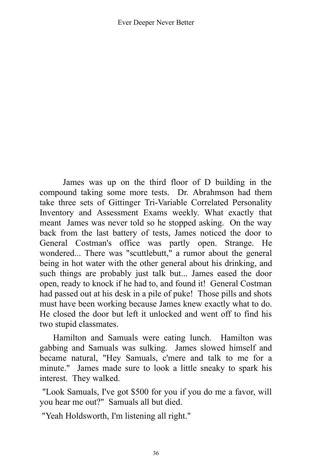James was up on the third floor of D building in the compound taking some more tests. Dr. Abrahmson had them take three sets of Gittinger Tri-Variable Correlated Personality Inventory and Assessment Exams weekly. What exactly that meant James was never told so he stopped asking. On the way back from the last battery of tests, James noticed the door to General Costman's office was partly open. Strange. He wondered... There was "scuttlebutt," a rumor about the general being in hot water with the other general about his drinking, and such things are probably just talk but... James eased the door open, ready to knock if he had to, and found it! General Costman had passed out at his desk in a pile of puke! Those pills and shots must have been working because James knew exactly what to do. He closed the door but left it unlocked and went off to find his two stupid classmates.

Hamilton and Samuals were eating lunch. Hamilton was gabbing and Samuals was sulking. James slowed himself and became natural, "Hey Samuals, c'mere and talk to me for a minute." James made sure to look a little sneaky to spark his interest. They walked.

"Look Samuals, I've got \$500 for you if you do me a favor, will you hear me out?" Samuals all but died.

"Yeah Holdsworth, I'm listening all right."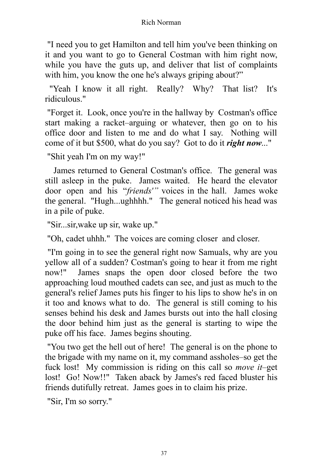"I need you to get Hamilton and tell him you've been thinking on it and you want to go to General Costman with him right now, while you have the guts up, and deliver that list of complaints with him, you know the one he's always griping about?"

"Yeah I know it all right. Really? Why? That list? It's ridiculous."

"Forget it. Look, once you're in the hallway by Costman's office start making a racket–arguing or whatever, then go on to his office door and listen to me and do what I say. Nothing will come of it but \$500, what do you say? Got to do it *right now*..."

"Shit yeah I'm on my way!"

James returned to General Costman's office. The general was still asleep in the puke. James waited. He heard the elevator door open and his "*friends'"* voices in the hall. James woke the general. "Hugh...ughhhh." The general noticed his head was in a pile of puke.

"Sir...sir,wake up sir, wake up."

"Oh, cadet uhhh." The voices are coming closer and closer.

"I'm going in to see the general right now Samuals, why are you yellow all of a sudden? Costman's going to hear it from me right now!" James snaps the open door closed before the two approaching loud mouthed cadets can see, and just as much to the general's relief James puts his finger to his lips to show he's in on it too and knows what to do. The general is still coming to his senses behind his desk and James bursts out into the hall closing the door behind him just as the general is starting to wipe the puke off his face. James begins shouting.

"You two get the hell out of here! The general is on the phone to the brigade with my name on it, my command assholes–so get the fuck lost! My commission is riding on this call so *move it*–get lost! Go! Now!!" Taken aback by James's red faced bluster his friends dutifully retreat. James goes in to claim his prize.

"Sir, I'm so sorry."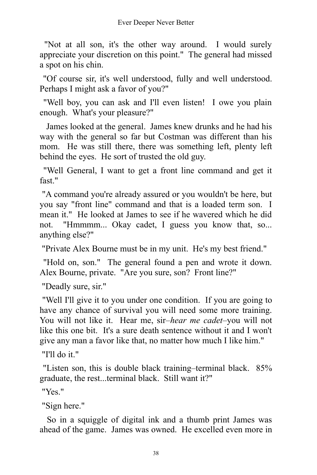"Not at all son, it's the other way around. I would surely appreciate your discretion on this point." The general had missed a spot on his chin.

"Of course sir, it's well understood, fully and well understood. Perhaps I might ask a favor of you?"

"Well boy, you can ask and I'll even listen! I owe you plain enough. What's your pleasure?"

James looked at the general. James knew drunks and he had his way with the general so far but Costman was different than his mom. He was still there, there was something left, plenty left behind the eyes. He sort of trusted the old guy.

"Well General, I want to get a front line command and get it fast."

"A command you're already assured or you wouldn't be here, but you say "front line" command and that is a loaded term son. I mean it." He looked at James to see if he wavered which he did not. "Hmmmm... Okay cadet, I guess you know that, so... anything else?"

"Private Alex Bourne must be in my unit. He's my best friend."

"Hold on, son." The general found a pen and wrote it down. Alex Bourne, private. "Are you sure, son? Front line?"

"Deadly sure, sir."

"Well I'll give it to you under one condition. If you are going to have any chance of survival you will need some more training. You will not like it. Hear me, sir–*hear me cadet*–you will not like this one bit. It's a sure death sentence without it and I won't give any man a favor like that, no matter how much I like him."

"I'll do it."

"Listen son, this is double black training–terminal black. 85% graduate, the rest...terminal black. Still want it?"

"Yes."

"Sign here."

So in a squiggle of digital ink and a thumb print James was ahead of the game. James was owned. He excelled even more in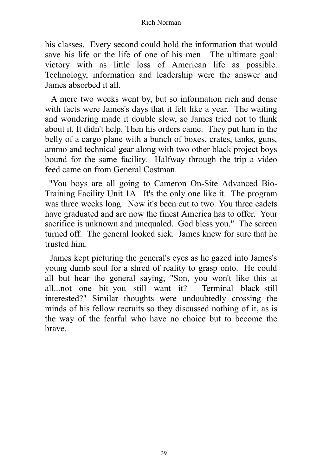his classes. Every second could hold the information that would save his life or the life of one of his men. The ultimate goal: victory with as little loss of American life as possible. Technology, information and leadership were the answer and James absorbed it all.

A mere two weeks went by, but so information rich and dense with facts were James's days that it felt like a year. The waiting and wondering made it double slow, so James tried not to think about it. It didn't help. Then his orders came. They put him in the belly of a cargo plane with a bunch of boxes, crates, tanks, guns, ammo and technical gear along with two other black project boys bound for the same facility. Halfway through the trip a video feed came on from General Costman.

"You boys are all going to Cameron On-Site Advanced Bio-Training Facility Unit 1A. It's the only one like it. The program was three weeks long. Now it's been cut to two. You three cadets have graduated and are now the finest America has to offer. Your sacrifice is unknown and unequaled. God bless you." The screen turned off. The general looked sick. James knew for sure that he trusted him.

James kept picturing the general's eyes as he gazed into James's young dumb soul for a shred of reality to grasp onto. He could all but hear the general saying, "Son, you won't like this at all...not one bit–you still want it? Terminal black–still interested?" Similar thoughts were undoubtedly crossing the minds of his fellow recruits so they discussed nothing of it, as is the way of the fearful who have no choice but to become the brave.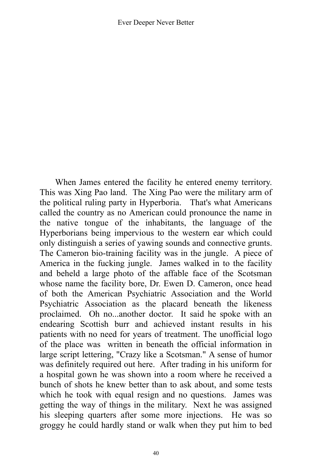When James entered the facility he entered enemy territory. This was Xing Pao land. The Xing Pao were the military arm of the political ruling party in Hyperboria. That's what Americans called the country as no American could pronounce the name in the native tongue of the inhabitants, the language of the Hyperborians being impervious to the western ear which could only distinguish a series of yawing sounds and connective grunts. The Cameron bio-training facility was in the jungle. A piece of America in the fucking jungle. James walked in to the facility and beheld a large photo of the affable face of the Scotsman whose name the facility bore, Dr. Ewen D. Cameron, once head of both the American Psychiatric Association and the World Psychiatric Association as the placard beneath the likeness proclaimed. Oh no...another doctor. It said he spoke with an endearing Scottish burr and achieved instant results in his patients with no need for years of treatment. The unofficial logo of the place was written in beneath the official information in large script lettering, "Crazy like a Scotsman." A sense of humor was definitely required out here. After trading in his uniform for a hospital gown he was shown into a room where he received a bunch of shots he knew better than to ask about, and some tests which he took with equal resign and no questions. James was getting the way of things in the military. Next he was assigned his sleeping quarters after some more injections. He was so groggy he could hardly stand or walk when they put him to bed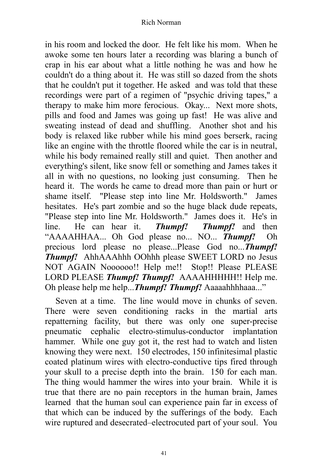in his room and locked the door. He felt like his mom. When he awoke some ten hours later a recording was blaring a bunch of crap in his ear about what a little nothing he was and how he couldn't do a thing about it. He was still so dazed from the shots that he couldn't put it together. He asked and was told that these recordings were part of a regimen of "psychic driving tapes," a therapy to make him more ferocious. Okay... Next more shots, pills and food and James was going up fast! He was alive and sweating instead of dead and shuffling. Another shot and his body is relaxed like rubber while his mind goes berserk, racing like an engine with the throttle floored while the car is in neutral, while his body remained really still and quiet. Then another and everything's silent, like snow fell or something and James takes it all in with no questions, no looking just consuming. Then he heard it. The words he came to dread more than pain or hurt or shame itself. "Please step into line Mr. Holdsworth." James hesitates. He's part zombie and so the huge black dude repeats, "Please step into line Mr. Holdsworth." James does it. He's in line. He can hear it. *Thumpf! Thumpf!* and then "AAAAHHAA... Oh God please no... NO... *Thumpf!* Oh precious lord please no please...Please God no...*Thumpf! Thumpf!* AhhAAAhhh OOhhh please SWEET LORD no Jesus NOT AGAIN Noooooo!! Help me!! Stop!! Please PLEASE LORD PLEASE *Thumpf! Thumpf!* AAAAHHHHH!! Help me. Oh please help me help...*Thumpf! Thumpf!* Aaaaahhhhaaa..."

Seven at a time. The line would move in chunks of seven. There were seven conditioning racks in the martial arts repatterning facility, but there was only one super-precise pneumatic cephalic electro-stimulus-conductor implantation hammer. While one guy got it, the rest had to watch and listen knowing they were next. 150 electrodes, 150 infinitesimal plastic coated platinum wires with electro-conductive tips fired through your skull to a precise depth into the brain. 150 for each man. The thing would hammer the wires into your brain. While it is true that there are no pain receptors in the human brain, James learned that the human soul can experience pain far in excess of that which can be induced by the sufferings of the body. Each wire ruptured and desecrated–electrocuted part of your soul. You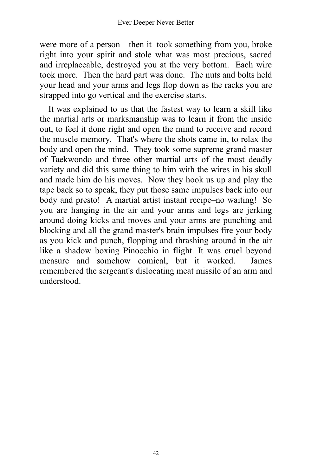were more of a person—then it took something from you, broke right into your spirit and stole what was most precious, sacred and irreplaceable, destroyed you at the very bottom. Each wire took more. Then the hard part was done. The nuts and bolts held your head and your arms and legs flop down as the racks you are strapped into go vertical and the exercise starts.

It was explained to us that the fastest way to learn a skill like the martial arts or marksmanship was to learn it from the inside out, to feel it done right and open the mind to receive and record the muscle memory. That's where the shots came in, to relax the body and open the mind. They took some supreme grand master of Taekwondo and three other martial arts of the most deadly variety and did this same thing to him with the wires in his skull and made him do his moves. Now they hook us up and play the tape back so to speak, they put those same impulses back into our body and presto! A martial artist instant recipe–no waiting! So you are hanging in the air and your arms and legs are jerking around doing kicks and moves and your arms are punching and blocking and all the grand master's brain impulses fire your body as you kick and punch, flopping and thrashing around in the air like a shadow boxing Pinocchio in flight. It was cruel beyond measure and somehow comical, but it worked. James remembered the sergeant's dislocating meat missile of an arm and understood.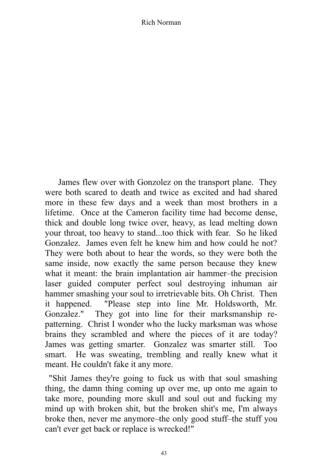James flew over with Gonzolez on the transport plane. They were both scared to death and twice as excited and had shared more in these few days and a week than most brothers in a lifetime. Once at the Cameron facility time had become dense, thick and double long twice over, heavy, as lead melting down your throat, too heavy to stand...too thick with fear. So he liked Gonzalez. James even felt he knew him and how could he not? They were both about to hear the words, so they were both the same inside, now exactly the same person because they knew what it meant: the brain implantation air hammer–the precision laser guided computer perfect soul destroying inhuman air hammer smashing your soul to irretrievable bits. Oh Christ. Then it happened. "Please step into line Mr. Holdsworth, Mr. Gonzalez." They got into line for their marksmanship repatterning. Christ I wonder who the lucky marksman was whose brains they scrambled and where the pieces of it are today? James was getting smarter. Gonzalez was smarter still. Too smart. He was sweating, trembling and really knew what it meant. He couldn't fake it any more.

"Shit James they're going to fuck us with that soul smashing thing, the damn thing coming up over me, up onto me again to take more, pounding more skull and soul out and fucking my mind up with broken shit, but the broken shit's me, I'm always broke then, never me anymore–the only good stuff–the stuff you can't ever get back or replace is wrecked!"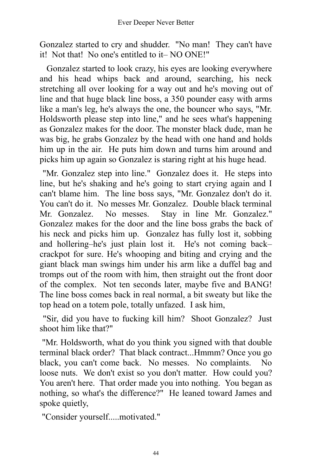Gonzalez started to cry and shudder. "No man! They can't have it! Not that! No one's entitled to it– NO ONE!"

Gonzalez started to look crazy, his eyes are looking everywhere and his head whips back and around, searching, his neck stretching all over looking for a way out and he's moving out of line and that huge black line boss, a 350 pounder easy with arms like a man's leg, he's always the one, the bouncer who says, "Mr. Holdsworth please step into line," and he sees what's happening as Gonzalez makes for the door. The monster black dude, man he was big, he grabs Gonzalez by the head with one hand and holds him up in the air. He puts him down and turns him around and picks him up again so Gonzalez is staring right at his huge head.

"Mr. Gonzalez step into line." Gonzalez does it. He steps into line, but he's shaking and he's going to start crying again and I can't blame him. The line boss says, "Mr. Gonzalez don't do it. You can't do it. No messes Mr. Gonzalez. Double black terminal Mr. Gonzalez. No messes. Stay in line Mr. Gonzalez." Gonzalez makes for the door and the line boss grabs the back of his neck and picks him up. Gonzalez has fully lost it, sobbing and hollering–he's just plain lost it. He's not coming back– crackpot for sure. He's whooping and biting and crying and the giant black man swings him under his arm like a duffel bag and tromps out of the room with him, then straight out the front door of the complex. Not ten seconds later, maybe five and BANG! The line boss comes back in real normal, a bit sweaty but like the top head on a totem pole, totally unfazed. I ask him,

"Sir, did you have to fucking kill him? Shoot Gonzalez? Just shoot him like that?"

"Mr. Holdsworth, what do you think you signed with that double terminal black order? That black contract...Hmmm? Once you go black, you can't come back. No messes. No complaints. No loose nuts. We don't exist so you don't matter. How could you? You aren't here. That order made you into nothing. You began as nothing, so what's the difference?" He leaned toward James and spoke quietly,

"Consider yourself.....motivated."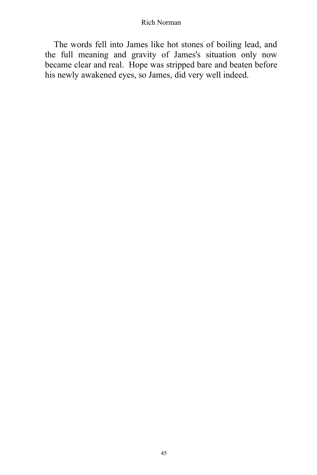The words fell into James like hot stones of boiling lead, and the full meaning and gravity of James's situation only now became clear and real. Hope was stripped bare and beaten before his newly awakened eyes, so James, did very well indeed.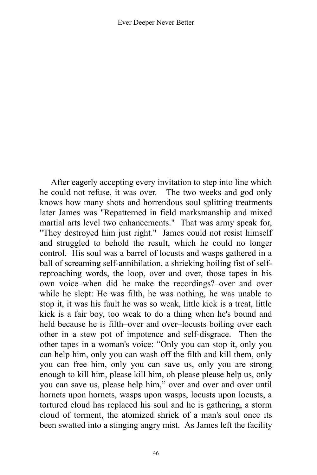After eagerly accepting every invitation to step into line which he could not refuse, it was over. The two weeks and god only knows how many shots and horrendous soul splitting treatments later James was "Repatterned in field marksmanship and mixed martial arts level two enhancements." That was army speak for, "They destroyed him just right." James could not resist himself and struggled to behold the result, which he could no longer control. His soul was a barrel of locusts and wasps gathered in a ball of screaming self-annihilation, a shrieking boiling fist of selfreproaching words, the loop, over and over, those tapes in his own voice–when did he make the recordings?–over and over while he slept: He was filth, he was nothing, he was unable to stop it, it was his fault he was so weak, little kick is a treat, little kick is a fair boy, too weak to do a thing when he's bound and held because he is filth–over and over–locusts boiling over each other in a stew pot of impotence and self-disgrace. Then the other tapes in a woman's voice: "Only you can stop it, only you can help him, only you can wash off the filth and kill them, only you can free him, only you can save us, only you are strong enough to kill him, please kill him, oh please please help us, only you can save us, please help him," over and over and over until hornets upon hornets, wasps upon wasps, locusts upon locusts, a tortured cloud has replaced his soul and he is gathering, a storm cloud of torment, the atomized shriek of a man's soul once its been swatted into a stinging angry mist. As James left the facility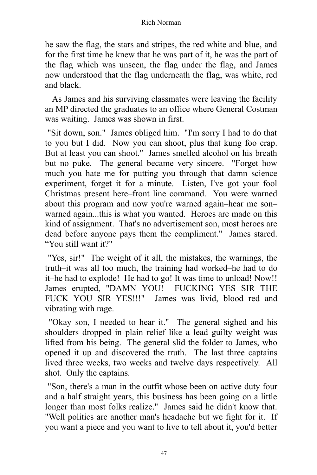he saw the flag, the stars and stripes, the red white and blue, and for the first time he knew that he was part of it, he was the part of the flag which was unseen, the flag under the flag, and James now understood that the flag underneath the flag, was white, red and black.

As James and his surviving classmates were leaving the facility an MP directed the graduates to an office where General Costman was waiting. James was shown in first.

"Sit down, son." James obliged him. "I'm sorry I had to do that to you but I did. Now you can shoot, plus that kung foo crap. But at least you can shoot." James smelled alcohol on his breath but no puke. The general became very sincere. "Forget how much you hate me for putting you through that damn science experiment, forget it for a minute. Listen, I've got your fool Christmas present here–front line command. You were warned about this program and now you're warned again–hear me son– warned again...this is what you wanted. Heroes are made on this kind of assignment. That's no advertisement son, most heroes are dead before anyone pays them the compliment." James stared. "You still want it?"

"Yes, sir!" The weight of it all, the mistakes, the warnings, the truth–it was all too much, the training had worked–he had to do it–he had to explode! He had to go! It was time to unload! Now!! James erupted, "DAMN YOU! FUCKING YES SIR THE FUCK YOU SIR–YES!!!" James was livid, blood red and vibrating with rage.

"Okay son, I needed to hear it." The general sighed and his shoulders dropped in plain relief like a lead guilty weight was lifted from his being. The general slid the folder to James, who opened it up and discovered the truth. The last three captains lived three weeks, two weeks and twelve days respectively. All shot. Only the captains.

"Son, there's a man in the outfit whose been on active duty four and a half straight years, this business has been going on a little longer than most folks realize." James said he didn't know that. "Well politics are another man's headache but we fight for it. If you want a piece and you want to live to tell about it, you'd better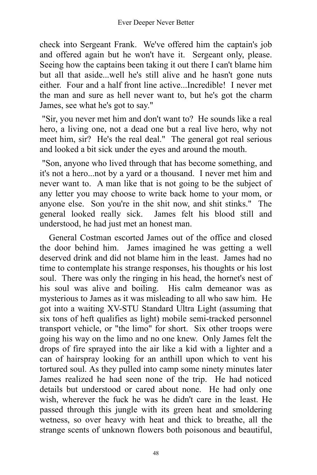check into Sergeant Frank. We've offered him the captain's job and offered again but he won't have it. Sergeant only, please. Seeing how the captains been taking it out there I can't blame him but all that aside...well he's still alive and he hasn't gone nuts either. Four and a half front line active...Incredible! I never met the man and sure as hell never want to, but he's got the charm James, see what he's got to say."

"Sir, you never met him and don't want to? He sounds like a real hero, a living one, not a dead one but a real live hero, why not meet him, sir? He's the real deal." The general got real serious and looked a bit sick under the eyes and around the mouth.

"Son, anyone who lived through that has become something, and it's not a hero...not by a yard or a thousand. I never met him and never want to. A man like that is not going to be the subject of any letter you may choose to write back home to your mom, or anyone else. Son you're in the shit now, and shit stinks." The general looked really sick. James felt his blood still and understood, he had just met an honest man.

General Costman escorted James out of the office and closed the door behind him. James imagined he was getting a well deserved drink and did not blame him in the least. James had no time to contemplate his strange responses, his thoughts or his lost soul. There was only the ringing in his head, the hornet's nest of his soul was alive and boiling. His calm demeanor was as mysterious to James as it was misleading to all who saw him. He got into a waiting XV-STU Standard Ultra Light (assuming that six tons of heft qualifies as light) mobile semi-tracked personnel transport vehicle, or "the limo" for short. Six other troops were going his way on the limo and no one knew. Only James felt the drops of fire sprayed into the air like a kid with a lighter and a can of hairspray looking for an anthill upon which to vent his tortured soul. As they pulled into camp some ninety minutes later James realized he had seen none of the trip. He had noticed details but understood or cared about none. He had only one wish, wherever the fuck he was he didn't care in the least. He passed through this jungle with its green heat and smoldering wetness, so over heavy with heat and thick to breathe, all the strange scents of unknown flowers both poisonous and beautiful,

48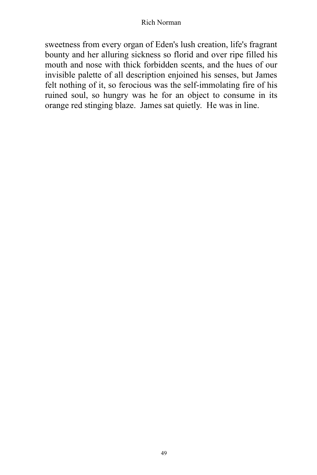sweetness from every organ of Eden's lush creation, life's fragrant bounty and her alluring sickness so florid and over ripe filled his mouth and nose with thick forbidden scents, and the hues of our invisible palette of all description enjoined his senses, but James felt nothing of it, so ferocious was the self-immolating fire of his ruined soul, so hungry was he for an object to consume in its orange red stinging blaze. James sat quietly. He was in line.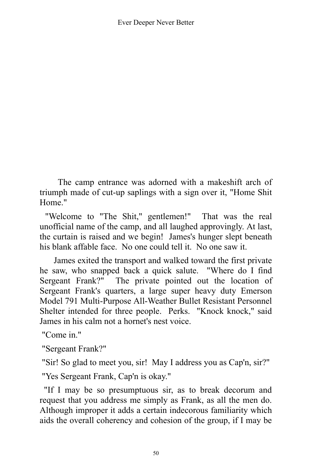The camp entrance was adorned with a makeshift arch of triumph made of cut-up saplings with a sign over it, "Home Shit Home."

"Welcome to "The Shit," gentlemen!" That was the real unofficial name of the camp, and all laughed approvingly. At last, the curtain is raised and we begin! James's hunger slept beneath his blank affable face. No one could tell it. No one saw it.

James exited the transport and walked toward the first private he saw, who snapped back a quick salute. "Where do I find Sergeant Frank?" The private pointed out the location of Sergeant Frank's quarters, a large super heavy duty Emerson Model 791 Multi-Purpose All-Weather Bullet Resistant Personnel Shelter intended for three people. Perks. "Knock knock," said James in his calm not a hornet's nest voice.

"Come in."

"Sergeant Frank?"

"Sir! So glad to meet you, sir! May I address you as Cap'n, sir?"

"Yes Sergeant Frank, Cap'n is okay."

"If I may be so presumptuous sir, as to break decorum and request that you address me simply as Frank, as all the men do. Although improper it adds a certain indecorous familiarity which aids the overall coherency and cohesion of the group, if I may be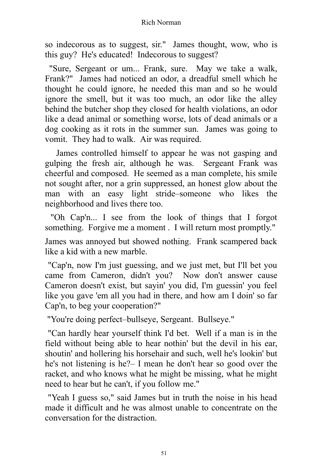so indecorous as to suggest, sir." James thought, wow, who is this guy? He's educated! Indecorous to suggest?

"Sure, Sergeant or um... Frank, sure. May we take a walk, Frank?" James had noticed an odor, a dreadful smell which he thought he could ignore, he needed this man and so he would ignore the smell, but it was too much, an odor like the alley behind the butcher shop they closed for health violations, an odor like a dead animal or something worse, lots of dead animals or a dog cooking as it rots in the summer sun. James was going to vomit. They had to walk. Air was required.

James controlled himself to appear he was not gasping and gulping the fresh air, although he was. Sergeant Frank was cheerful and composed. He seemed as a man complete, his smile not sought after, nor a grin suppressed, an honest glow about the man with an easy light stride–someone who likes the neighborhood and lives there too.

"Oh Cap'n... I see from the look of things that I forgot something. Forgive me a moment . I will return most promptly."

James was annoyed but showed nothing. Frank scampered back like a kid with a new marble.

"Cap'n, now I'm just guessing, and we just met, but I'll bet you came from Cameron, didn't you? Now don't answer cause Cameron doesn't exist, but sayin' you did, I'm guessin' you feel like you gave 'em all you had in there, and how am I doin' so far Cap'n, to beg your cooperation?"

"You're doing perfect–bullseye, Sergeant. Bullseye."

"Can hardly hear yourself think I'd bet. Well if a man is in the field without being able to hear nothin' but the devil in his ear, shoutin' and hollering his horsehair and such, well he's lookin' but he's not listening is he?– I mean he don't hear so good over the racket, and who knows what he might be missing, what he might need to hear but he can't, if you follow me."

"Yeah I guess so," said James but in truth the noise in his head made it difficult and he was almost unable to concentrate on the conversation for the distraction.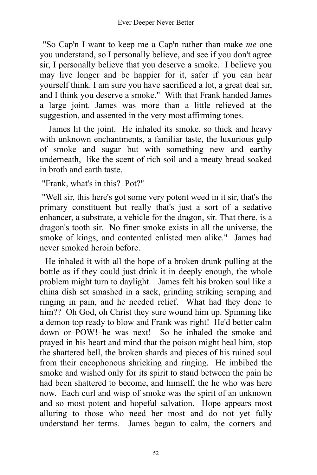"So Cap'n I want to keep me a Cap'n rather than make *me* one you understand, so I personally believe, and see if you don't agree sir, I personally believe that you deserve a smoke. I believe you may live longer and be happier for it, safer if you can hear yourself think. I am sure you have sacrificed a lot, a great deal sir, and I think you deserve a smoke." With that Frank handed James a large joint. James was more than a little relieved at the suggestion, and assented in the very most affirming tones.

James lit the joint. He inhaled its smoke, so thick and heavy with unknown enchantments, a familiar taste, the luxurious gulp of smoke and sugar but with something new and earthy underneath, like the scent of rich soil and a meaty bread soaked in broth and earth taste.

"Frank, what's in this? Pot?"

"Well sir, this here's got some very potent weed in it sir, that's the primary constituent but really that's just a sort of a sedative enhancer, a substrate, a vehicle for the dragon, sir. That there, is a dragon's tooth sir. No finer smoke exists in all the universe, the smoke of kings, and contented enlisted men alike." James had never smoked heroin before.

He inhaled it with all the hope of a broken drunk pulling at the bottle as if they could just drink it in deeply enough, the whole problem might turn to daylight. James felt his broken soul like a china dish set smashed in a sack, grinding striking scraping and ringing in pain, and he needed relief. What had they done to him?? Oh God, oh Christ they sure wound him up. Spinning like a demon top ready to blow and Frank was right! He'd better calm down or–POW!–he was next! So he inhaled the smoke and prayed in his heart and mind that the poison might heal him, stop the shattered bell, the broken shards and pieces of his ruined soul from their cacophonous shrieking and ringing. He imbibed the smoke and wished only for its spirit to stand between the pain he had been shattered to become, and himself, the he who was here now. Each curl and wisp of smoke was the spirit of an unknown and so most potent and hopeful salvation. Hope appears most alluring to those who need her most and do not yet fully understand her terms. James began to calm, the corners and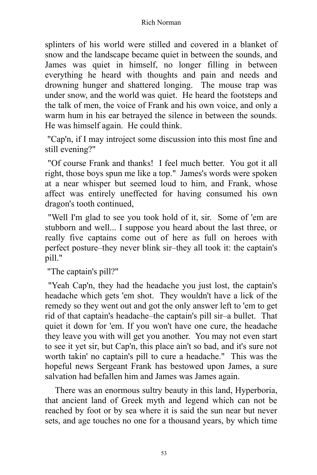splinters of his world were stilled and covered in a blanket of snow and the landscape became quiet in between the sounds, and James was quiet in himself, no longer filling in between everything he heard with thoughts and pain and needs and drowning hunger and shattered longing. The mouse trap was under snow, and the world was quiet. He heard the footsteps and the talk of men, the voice of Frank and his own voice, and only a warm hum in his ear betrayed the silence in between the sounds. He was himself again. He could think.

"Cap'n, if I may introject some discussion into this most fine and still evening?"

"Of course Frank and thanks! I feel much better. You got it all right, those boys spun me like a top." James's words were spoken at a near whisper but seemed loud to him, and Frank, whose affect was entirely uneffected for having consumed his own dragon's tooth continued,

"Well I'm glad to see you took hold of it, sir. Some of 'em are stubborn and well... I suppose you heard about the last three, or really five captains come out of here as full on heroes with perfect posture–they never blink sir–they all took it: the captain's pill."

"The captain's pill?"

"Yeah Cap'n, they had the headache you just lost, the captain's headache which gets 'em shot. They wouldn't have a lick of the remedy so they went out and got the only answer left to 'em to get rid of that captain's headache–the captain's pill sir–a bullet. That quiet it down for 'em. If you won't have one cure, the headache they leave you with will get you another. You may not even start to see it yet sir, but Cap'n, this place ain't so bad, and it's sure not worth takin' no captain's pill to cure a headache." This was the hopeful news Sergeant Frank has bestowed upon James, a sure salvation had befallen him and James was James again.

There was an enormous sultry beauty in this land, Hyperboria, that ancient land of Greek myth and legend which can not be reached by foot or by sea where it is said the sun near but never sets, and age touches no one for a thousand years, by which time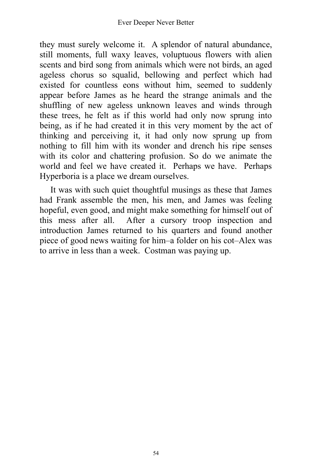they must surely welcome it. A splendor of natural abundance, still moments, full waxy leaves, voluptuous flowers with alien scents and bird song from animals which were not birds, an aged ageless chorus so squalid, bellowing and perfect which had existed for countless eons without him, seemed to suddenly appear before James as he heard the strange animals and the shuffling of new ageless unknown leaves and winds through these trees, he felt as if this world had only now sprung into being, as if he had created it in this very moment by the act of thinking and perceiving it, it had only now sprung up from nothing to fill him with its wonder and drench his ripe senses with its color and chattering profusion. So do we animate the world and feel we have created it. Perhaps we have. Perhaps Hyperboria is a place we dream ourselves.

It was with such quiet thoughtful musings as these that James had Frank assemble the men, his men, and James was feeling hopeful, even good, and might make something for himself out of this mess after all. After a cursory troop inspection and introduction James returned to his quarters and found another piece of good news waiting for him–a folder on his cot–Alex was to arrive in less than a week. Costman was paying up.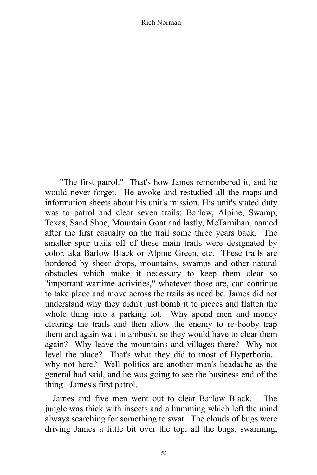"The first patrol." That's how James remembered it, and he would never forget. He awoke and restudied all the maps and information sheets about his unit's mission. His unit's stated duty was to patrol and clear seven trails: Barlow, Alpine, Swamp, Texas, Sand Shoe, Mountain Goat and lastly, McTarnihan, named after the first casualty on the trail some three years back. The smaller spur trails off of these main trails were designated by color, aka Barlow Black or Alpine Green, etc. These trails are bordered by sheer drops, mountains, swamps and other natural obstacles which make it necessary to keep them clear so "important wartime activities," whatever those are, can continue to take place and move across the trails as need be. James did not understand why they didn't just bomb it to pieces and flatten the whole thing into a parking lot. Why spend men and money clearing the trails and then allow the enemy to re-booby trap them and again wait in ambush, so they would have to clear them again? Why leave the mountains and villages there? Why not level the place? That's what they did to most of Hyperboria... why not here? Well politics are another man's headache as the general had said, and he was going to see the business end of the thing. James's first patrol.

James and five men went out to clear Barlow Black. The jungle was thick with insects and a humming which left the mind always searching for something to swat. The clouds of bugs were driving James a little bit over the top, all the bugs, swarming,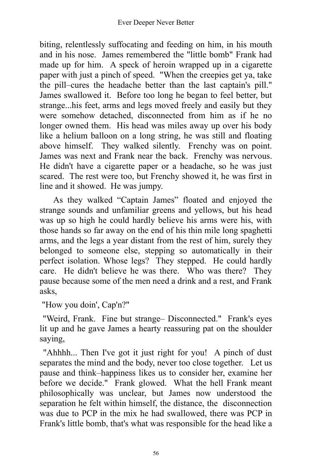biting, relentlessly suffocating and feeding on him, in his mouth and in his nose. James remembered the "little bomb" Frank had made up for him. A speck of heroin wrapped up in a cigarette paper with just a pinch of speed. "When the creepies get ya, take the pill–cures the headache better than the last captain's pill." James swallowed it. Before too long he began to feel better, but strange...his feet, arms and legs moved freely and easily but they were somehow detached, disconnected from him as if he no longer owned them. His head was miles away up over his body like a helium balloon on a long string, he was still and floating above himself. They walked silently. Frenchy was on point. James was next and Frank near the back. Frenchy was nervous. He didn't have a cigarette paper or a headache, so he was just scared. The rest were too, but Frenchy showed it, he was first in line and it showed. He was jumpy.

As they walked "Captain James" floated and enjoyed the strange sounds and unfamiliar greens and yellows, but his head was up so high he could hardly believe his arms were his, with those hands so far away on the end of his thin mile long spaghetti arms, and the legs a year distant from the rest of him, surely they belonged to someone else, stepping so automatically in their perfect isolation. Whose legs? They stepped. He could hardly care. He didn't believe he was there. Who was there? They pause because some of the men need a drink and a rest, and Frank asks,

"How you doin', Cap'n?"

"Weird, Frank. Fine but strange– Disconnected." Frank's eyes lit up and he gave James a hearty reassuring pat on the shoulder saying,

"Ahhhh... Then I've got it just right for you! A pinch of dust separates the mind and the body, never too close together. Let us pause and think–happiness likes us to consider her, examine her before we decide." Frank glowed. What the hell Frank meant philosophically was unclear, but James now understood the separation he felt within himself, the distance, the disconnection was due to PCP in the mix he had swallowed, there was PCP in Frank's little bomb, that's what was responsible for the head like a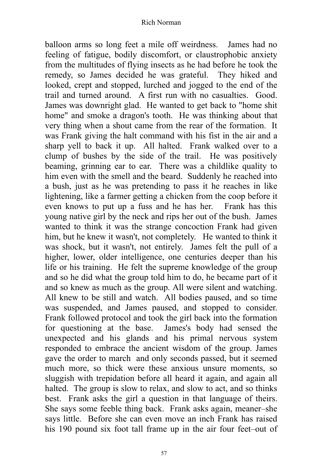balloon arms so long feet a mile off weirdness. James had no feeling of fatigue, bodily discomfort, or claustrophobic anxiety from the multitudes of flying insects as he had before he took the remedy, so James decided he was grateful. They hiked and looked, crept and stopped, lurched and jogged to the end of the trail and turned around. A first run with no casualties. Good. James was downright glad. He wanted to get back to "home shit home" and smoke a dragon's tooth. He was thinking about that very thing when a shout came from the rear of the formation. It was Frank giving the halt command with his fist in the air and a sharp yell to back it up. All halted. Frank walked over to a clump of bushes by the side of the trail. He was positively beaming, grinning ear to ear. There was a childlike quality to him even with the smell and the beard. Suddenly he reached into a bush, just as he was pretending to pass it he reaches in like lightening, like a farmer getting a chicken from the coop before it even knows to put up a fuss and he has her. Frank has this young native girl by the neck and rips her out of the bush. James wanted to think it was the strange concoction Frank had given him, but he knew it wasn't, not completely. He wanted to think it was shock, but it wasn't, not entirely. James felt the pull of a higher, lower, older intelligence, one centuries deeper than his life or his training. He felt the supreme knowledge of the group and so he did what the group told him to do, he became part of it and so knew as much as the group. All were silent and watching. All knew to be still and watch. All bodies paused, and so time was suspended, and James paused, and stopped to consider. Frank followed protocol and took the girl back into the formation for questioning at the base. James's body had sensed the unexpected and his glands and his primal nervous system responded to embrace the ancient wisdom of the group. James gave the order to march and only seconds passed, but it seemed much more, so thick were these anxious unsure moments, so sluggish with trepidation before all heard it again, and again all halted. The group is slow to relax, and slow to act, and so thinks best. Frank asks the girl a question in that language of theirs. She says some feeble thing back. Frank asks again, meaner–she says little. Before she can even move an inch Frank has raised his 190 pound six foot tall frame up in the air four feet–out of

57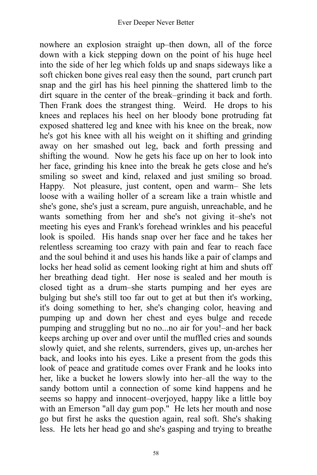nowhere an explosion straight up–then down, all of the force down with a kick stepping down on the point of his huge heel into the side of her leg which folds up and snaps sideways like a soft chicken bone gives real easy then the sound, part crunch part snap and the girl has his heel pinning the shattered limb to the dirt square in the center of the break–grinding it back and forth. Then Frank does the strangest thing. Weird. He drops to his knees and replaces his heel on her bloody bone protruding fat exposed shattered leg and knee with his knee on the break, now he's got his knee with all his weight on it shifting and grinding away on her smashed out leg, back and forth pressing and shifting the wound. Now he gets his face up on her to look into her face, grinding his knee into the break he gets close and he's smiling so sweet and kind, relaxed and just smiling so broad. Happy. Not pleasure, just content, open and warm– She lets loose with a wailing holler of a scream like a train whistle and she's gone, she's just a scream, pure anguish, unreachable, and he wants something from her and she's not giving it–she's not meeting his eyes and Frank's forehead wrinkles and his peaceful look is spoiled. His hands snap over her face and he takes her relentless screaming too crazy with pain and fear to reach face and the soul behind it and uses his hands like a pair of clamps and locks her head solid as cement looking right at him and shuts off her breathing dead tight. Her nose is sealed and her mouth is closed tight as a drum–she starts pumping and her eyes are bulging but she's still too far out to get at but then it's working, it's doing something to her, she's changing color, heaving and pumping up and down her chest and eyes bulge and recede pumping and struggling but no no...no air for you!–and her back keeps arching up over and over until the muffled cries and sounds slowly quiet, and she relents, surrenders, gives up, un-arches her back, and looks into his eyes. Like a present from the gods this look of peace and gratitude comes over Frank and he looks into her, like a bucket he lowers slowly into her–all the way to the sandy bottom until a connection of some kind happens and he seems so happy and innocent–overjoyed, happy like a little boy with an Emerson "all day gum pop." He lets her mouth and nose go but first he asks the question again, real soft. She's shaking less. He lets her head go and she's gasping and trying to breathe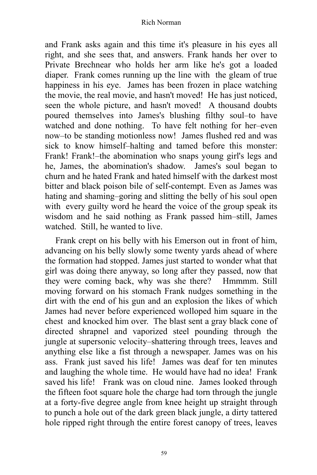and Frank asks again and this time it's pleasure in his eyes all right, and she sees that, and answers. Frank hands her over to Private Brechnear who holds her arm like he's got a loaded diaper. Frank comes running up the line with the gleam of true happiness in his eye. James has been frozen in place watching the movie, the real movie, and hasn't moved! He has just noticed, seen the whole picture, and hasn't moved! A thousand doubts poured themselves into James's blushing filthy soul–to have watched and done nothing. To have felt nothing for her–even now–to be standing motionless now! James flushed red and was sick to know himself–halting and tamed before this monster: Frank! Frank!–the abomination who snaps young girl's legs and he, James, the abomination's shadow. James's soul began to churn and he hated Frank and hated himself with the darkest most bitter and black poison bile of self-contempt. Even as James was hating and shaming–goring and slitting the belly of his soul open with every guilty word he heard the voice of the group speak its wisdom and he said nothing as Frank passed him–still, James watched. Still, he wanted to live.

Frank crept on his belly with his Emerson out in front of him, advancing on his belly slowly some twenty yards ahead of where the formation had stopped. James just started to wonder what that girl was doing there anyway, so long after they passed, now that they were coming back, why was she there? Hmmmm. Still moving forward on his stomach Frank nudges something in the dirt with the end of his gun and an explosion the likes of which James had never before experienced wolloped him square in the chest and knocked him over. The blast sent a gray black cone of directed shrapnel and vaporized steel pounding through the jungle at supersonic velocity–shattering through trees, leaves and anything else like a fist through a newspaper. James was on his ass. Frank just saved his life! James was deaf for ten minutes and laughing the whole time. He would have had no idea! Frank saved his life! Frank was on cloud nine. James looked through the fifteen foot square hole the charge had torn through the jungle at a forty-five degree angle from knee height up straight through to punch a hole out of the dark green black jungle, a dirty tattered hole ripped right through the entire forest canopy of trees, leaves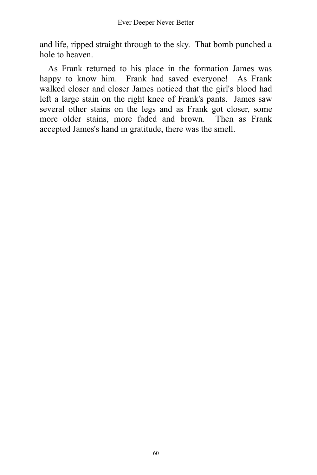and life, ripped straight through to the sky. That bomb punched a hole to heaven.

As Frank returned to his place in the formation James was happy to know him. Frank had saved everyone! As Frank walked closer and closer James noticed that the girl's blood had left a large stain on the right knee of Frank's pants. James saw several other stains on the legs and as Frank got closer, some more older stains, more faded and brown. Then as Frank accepted James's hand in gratitude, there was the smell.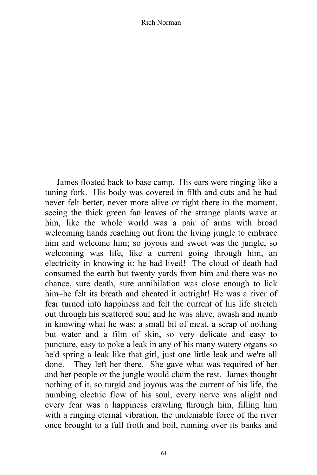James floated back to base camp. His ears were ringing like a tuning fork. His body was covered in filth and cuts and he had never felt better, never more alive or right there in the moment, seeing the thick green fan leaves of the strange plants wave at him, like the whole world was a pair of arms with broad welcoming hands reaching out from the living jungle to embrace him and welcome him; so joyous and sweet was the jungle, so welcoming was life, like a current going through him, an electricity in knowing it: he had lived! The cloud of death had consumed the earth but twenty yards from him and there was no chance, sure death, sure annihilation was close enough to lick him–he felt its breath and cheated it outright! He was a river of fear turned into happiness and felt the current of his life stretch out through his scattered soul and he was alive, awash and numb in knowing what he was: a small bit of meat, a scrap of nothing but water and a film of skin, so very delicate and easy to puncture, easy to poke a leak in any of his many watery organs so he'd spring a leak like that girl, just one little leak and we're all done. They left her there. She gave what was required of her and her people or the jungle would claim the rest. James thought nothing of it, so turgid and joyous was the current of his life, the numbing electric flow of his soul, every nerve was alight and every fear was a happiness crawling through him, filling him with a ringing eternal vibration, the undeniable force of the river once brought to a full froth and boil, running over its banks and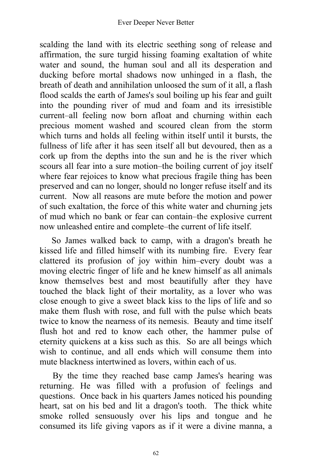scalding the land with its electric seething song of release and affirmation, the sure turgid hissing foaming exaltation of white water and sound, the human soul and all its desperation and ducking before mortal shadows now unhinged in a flash, the breath of death and annihilation unloosed the sum of it all, a flash flood scalds the earth of James's soul boiling up his fear and guilt into the pounding river of mud and foam and its irresistible current–all feeling now born afloat and churning within each precious moment washed and scoured clean from the storm which turns and holds all feeling within itself until it bursts, the fullness of life after it has seen itself all but devoured, then as a cork up from the depths into the sun and he is the river which scours all fear into a sure motion–the boiling current of joy itself where fear rejoices to know what precious fragile thing has been preserved and can no longer, should no longer refuse itself and its current. Now all reasons are mute before the motion and power of such exaltation, the force of this white water and churning jets of mud which no bank or fear can contain–the explosive current now unleashed entire and complete–the current of life itself.

So James walked back to camp, with a dragon's breath he kissed life and filled himself with its numbing fire. Every fear clattered its profusion of joy within him–every doubt was a moving electric finger of life and he knew himself as all animals know themselves best and most beautifully after they have touched the black light of their mortality, as a lover who was close enough to give a sweet black kiss to the lips of life and so make them flush with rose, and full with the pulse which beats twice to know the nearness of its nemesis. Beauty and time itself flush hot and red to know each other, the hammer pulse of eternity quickens at a kiss such as this. So are all beings which wish to continue, and all ends which will consume them into mute blackness intertwined as lovers, within each of us.

By the time they reached base camp James's hearing was returning. He was filled with a profusion of feelings and questions. Once back in his quarters James noticed his pounding heart, sat on his bed and lit a dragon's tooth. The thick white smoke rolled sensuously over his lips and tongue and he consumed its life giving vapors as if it were a divine manna, a

62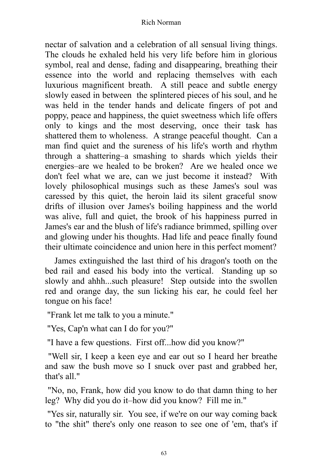nectar of salvation and a celebration of all sensual living things. The clouds he exhaled held his very life before him in glorious symbol, real and dense, fading and disappearing, breathing their essence into the world and replacing themselves with each luxurious magnificent breath. A still peace and subtle energy slowly eased in between the splintered pieces of his soul, and he was held in the tender hands and delicate fingers of pot and poppy, peace and happiness, the quiet sweetness which life offers only to kings and the most deserving, once their task has shattered them to wholeness. A strange peaceful thought. Can a man find quiet and the sureness of his life's worth and rhythm through a shattering–a smashing to shards which yields their energies–are we healed to be broken? Are we healed once we don't feel what we are, can we just become it instead? With lovely philosophical musings such as these James's soul was caressed by this quiet, the heroin laid its silent graceful snow drifts of illusion over James's boiling happiness and the world was alive, full and quiet, the brook of his happiness purred in James's ear and the blush of life's radiance brimmed, spilling over and glowing under his thoughts. Had life and peace finally found their ultimate coincidence and union here in this perfect moment?

James extinguished the last third of his dragon's tooth on the bed rail and eased his body into the vertical. Standing up so slowly and ahhh...such pleasure! Step outside into the swollen red and orange day, the sun licking his ear, he could feel her tongue on his face!

"Frank let me talk to you a minute."

"Yes, Cap'n what can I do for you?"

"I have a few questions. First off...how did you know?"

"Well sir, I keep a keen eye and ear out so I heard her breathe and saw the bush move so I snuck over past and grabbed her, that's all."

"No, no, Frank, how did you know to do that damn thing to her leg? Why did you do it–how did you know? Fill me in."

"Yes sir, naturally sir. You see, if we're on our way coming back to "the shit" there's only one reason to see one of 'em, that's if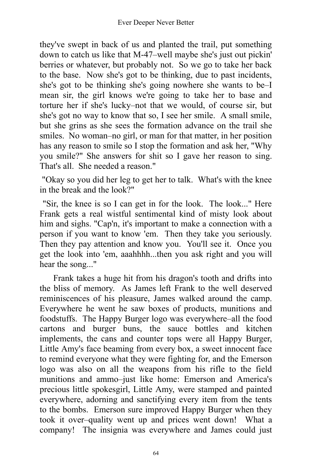they've swept in back of us and planted the trail, put something down to catch us like that M-47–well maybe she's just out pickin' berries or whatever, but probably not. So we go to take her back to the base. Now she's got to be thinking, due to past incidents, she's got to be thinking she's going nowhere she wants to be–I mean sir, the girl knows we're going to take her to base and torture her if she's lucky–not that we would, of course sir, but she's got no way to know that so, I see her smile. A small smile, but she grins as she sees the formation advance on the trail she smiles. No woman–no girl, or man for that matter, in her position has any reason to smile so I stop the formation and ask her, "Why you smile?" She answers for shit so I gave her reason to sing. That's all. She needed a reason."

"Okay so you did her leg to get her to talk. What's with the knee in the break and the look?"

"Sir, the knee is so I can get in for the look. The look..." Here Frank gets a real wistful sentimental kind of misty look about him and sighs. "Cap'n, it's important to make a connection with a person if you want to know 'em. Then they take you seriously. Then they pay attention and know you. You'll see it. Once you get the look into 'em, aaahhhh...then you ask right and you will hear the song..."

Frank takes a huge hit from his dragon's tooth and drifts into the bliss of memory. As James left Frank to the well deserved reminiscences of his pleasure, James walked around the camp. Everywhere he went he saw boxes of products, munitions and foodstuffs. The Happy Burger logo was everywhere–all the food cartons and burger buns, the sauce bottles and kitchen implements, the cans and counter tops were all Happy Burger, Little Amy's face beaming from every box, a sweet innocent face to remind everyone what they were fighting for, and the Emerson logo was also on all the weapons from his rifle to the field munitions and ammo–just like home: Emerson and America's precious little spokesgirl, Little Amy, were stamped and painted everywhere, adorning and sanctifying every item from the tents to the bombs. Emerson sure improved Happy Burger when they took it over–quality went up and prices went down! What a company! The insignia was everywhere and James could just

64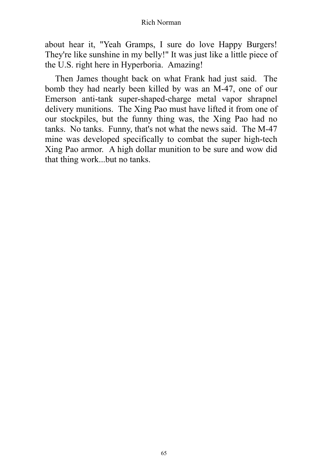about hear it, "Yeah Gramps, I sure do love Happy Burgers! They're like sunshine in my belly!" It was just like a little piece of the U.S. right here in Hyperboria. Amazing!

Then James thought back on what Frank had just said. The bomb they had nearly been killed by was an M-47, one of our Emerson anti-tank super-shaped-charge metal vapor shrapnel delivery munitions. The Xing Pao must have lifted it from one of our stockpiles, but the funny thing was, the Xing Pao had no tanks. No tanks. Funny, that's not what the news said. The M-47 mine was developed specifically to combat the super high-tech Xing Pao armor. A high dollar munition to be sure and wow did that thing work...but no tanks.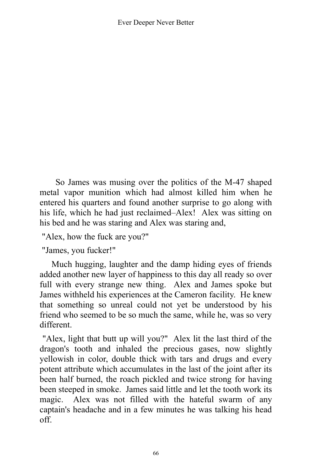So James was musing over the politics of the M-47 shaped metal vapor munition which had almost killed him when he entered his quarters and found another surprise to go along with his life, which he had just reclaimed–Alex! Alex was sitting on his bed and he was staring and Alex was staring and,

"Alex, how the fuck are you?"

"James, you fucker!"

Much hugging, laughter and the damp hiding eyes of friends added another new layer of happiness to this day all ready so over full with every strange new thing. Alex and James spoke but James withheld his experiences at the Cameron facility. He knew that something so unreal could not yet be understood by his friend who seemed to be so much the same, while he, was so very different.

"Alex, light that butt up will you?" Alex lit the last third of the dragon's tooth and inhaled the precious gases, now slightly yellowish in color, double thick with tars and drugs and every potent attribute which accumulates in the last of the joint after its been half burned, the roach pickled and twice strong for having been steeped in smoke. James said little and let the tooth work its magic. Alex was not filled with the hateful swarm of any captain's headache and in a few minutes he was talking his head off.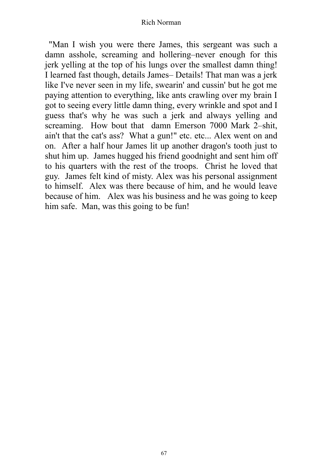"Man I wish you were there James, this sergeant was such a damn asshole, screaming and hollering–never enough for this jerk yelling at the top of his lungs over the smallest damn thing! I learned fast though, details James– Details! That man was a jerk like I've never seen in my life, swearin' and cussin' but he got me paying attention to everything, like ants crawling over my brain I got to seeing every little damn thing, every wrinkle and spot and I guess that's why he was such a jerk and always yelling and screaming. How bout that damn Emerson 7000 Mark 2–shit, ain't that the cat's ass? What a gun!" etc. etc... Alex went on and on. After a half hour James lit up another dragon's tooth just to shut him up. James hugged his friend goodnight and sent him off to his quarters with the rest of the troops. Christ he loved that guy. James felt kind of misty. Alex was his personal assignment to himself. Alex was there because of him, and he would leave because of him. Alex was his business and he was going to keep him safe. Man, was this going to be fun!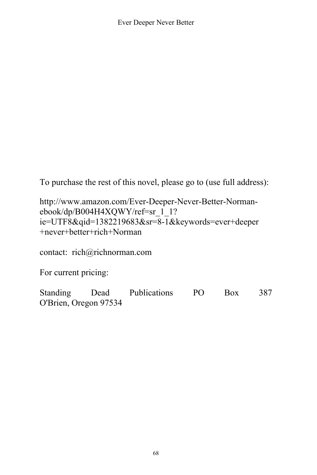To purchase the rest of this novel, please go to (use full address):

http://www.amazon.com/Ever-Deeper-Never-Better-Normanebook/dp/B004H4XQWY/ref=sr\_1\_1? ie=UTF8&qid=1382219683&sr=8-1&keywords=ever+deeper +never+better+rich+Norman

contact: rich@richnorman.com

For current pricing:

Standing Dead Publications PO Box 387 O'Brien, Oregon 97534